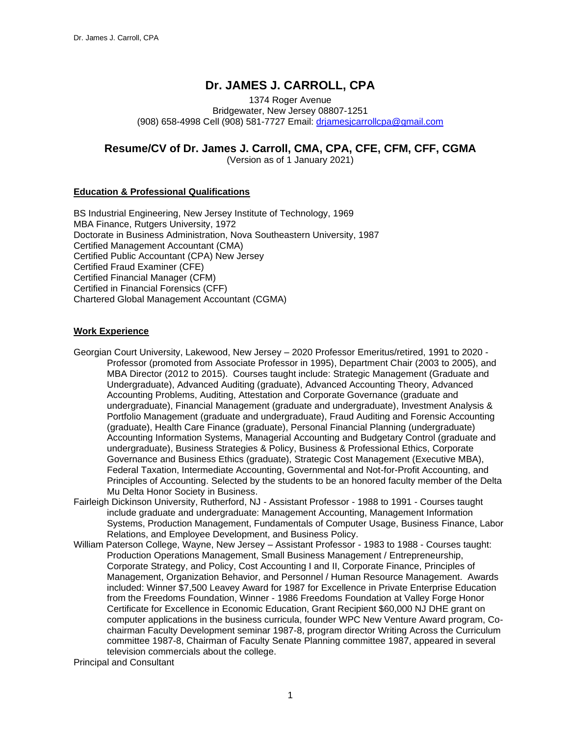# **Dr. JAMES J. CARROLL, CPA**

1374 Roger Avenue Bridgewater, New Jersey 08807-1251 (908) 658-4998 Cell (908) 581-7727 Email: [drjamesjcarrollcpa@gmail.com](mailto:drjamesjcarrollcpa@gmail.com)

# **Resume/CV of Dr. James J. Carroll, CMA, CPA, CFE, CFM, CFF, CGMA**

(Version as of 1 January 2021)

## **Education & Professional Qualifications**

BS Industrial Engineering, New Jersey Institute of Technology, 1969 MBA Finance, Rutgers University, 1972 Doctorate in Business Administration, Nova Southeastern University, 1987 Certified Management Accountant (CMA) Certified Public Accountant (CPA) New Jersey Certified Fraud Examiner (CFE) Certified Financial Manager (CFM) Certified in Financial Forensics (CFF) Chartered Global Management Accountant (CGMA)

### **Work Experience**

- Georgian Court University, Lakewood, New Jersey 2020 Professor Emeritus/retired, 1991 to 2020 Professor (promoted from Associate Professor in 1995), Department Chair (2003 to 2005), and MBA Director (2012 to 2015). Courses taught include: Strategic Management (Graduate and Undergraduate), Advanced Auditing (graduate), Advanced Accounting Theory, Advanced Accounting Problems, Auditing, Attestation and Corporate Governance (graduate and undergraduate), Financial Management (graduate and undergraduate), Investment Analysis & Portfolio Management (graduate and undergraduate), Fraud Auditing and Forensic Accounting (graduate), Health Care Finance (graduate), Personal Financial Planning (undergraduate) Accounting Information Systems, Managerial Accounting and Budgetary Control (graduate and undergraduate), Business Strategies & Policy, Business & Professional Ethics, Corporate Governance and Business Ethics (graduate), Strategic Cost Management (Executive MBA), Federal Taxation, Intermediate Accounting, Governmental and Not-for-Profit Accounting, and Principles of Accounting. Selected by the students to be an honored faculty member of the Delta Mu Delta Honor Society in Business.
- Fairleigh Dickinson University, Rutherford, NJ Assistant Professor 1988 to 1991 Courses taught include graduate and undergraduate: Management Accounting, Management Information Systems, Production Management, Fundamentals of Computer Usage, Business Finance, Labor Relations, and Employee Development, and Business Policy.
- William Paterson College, Wayne, New Jersey Assistant Professor 1983 to 1988 Courses taught: Production Operations Management, Small Business Management / Entrepreneurship, Corporate Strategy, and Policy, Cost Accounting I and II, Corporate Finance, Principles of Management, Organization Behavior, and Personnel / Human Resource Management. Awards included: Winner \$7,500 Leavey Award for 1987 for Excellence in Private Enterprise Education from the Freedoms Foundation, Winner - 1986 Freedoms Foundation at Valley Forge Honor Certificate for Excellence in Economic Education, Grant Recipient \$60,000 NJ DHE grant on computer applications in the business curricula, founder WPC New Venture Award program, Cochairman Faculty Development seminar 1987-8, program director Writing Across the Curriculum committee 1987-8, Chairman of Faculty Senate Planning committee 1987, appeared in several television commercials about the college.

Principal and Consultant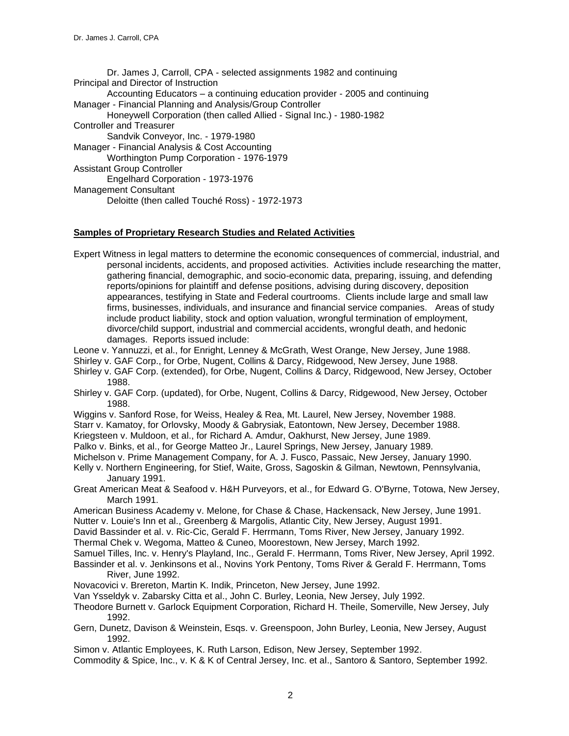Dr. James J, Carroll, CPA - selected assignments 1982 and continuing Principal and Director of Instruction Accounting Educators – a continuing education provider - 2005 and continuing Manager - Financial Planning and Analysis/Group Controller Honeywell Corporation (then called Allied - Signal Inc.) - 1980-1982 Controller and Treasurer Sandvik Conveyor, Inc. - 1979-1980 Manager - Financial Analysis & Cost Accounting Worthington Pump Corporation - 1976-1979 Assistant Group Controller Engelhard Corporation - 1973-1976 Management Consultant Deloitte (then called Touché Ross) - 1972-1973

## **Samples of Proprietary Research Studies and Related Activities**

Expert Witness in legal matters to determine the economic consequences of commercial, industrial, and personal incidents, accidents, and proposed activities. Activities include researching the matter, gathering financial, demographic, and socio-economic data, preparing, issuing, and defending reports/opinions for plaintiff and defense positions, advising during discovery, deposition appearances, testifying in State and Federal courtrooms. Clients include large and small law firms, businesses, individuals, and insurance and financial service companies. Areas of study include product liability, stock and option valuation, wrongful termination of employment, divorce/child support, industrial and commercial accidents, wrongful death, and hedonic damages. Reports issued include:

Leone v. Yannuzzi, et al., for Enright, Lenney & McGrath, West Orange, New Jersey, June 1988.

Shirley v. GAF Corp., for Orbe, Nugent, Collins & Darcy, Ridgewood, New Jersey, June 1988.

- Shirley v. GAF Corp. (extended), for Orbe, Nugent, Collins & Darcy, Ridgewood, New Jersey, October 1988.
- Shirley v. GAF Corp. (updated), for Orbe, Nugent, Collins & Darcy, Ridgewood, New Jersey, October 1988.
- Wiggins v. Sanford Rose, for Weiss, Healey & Rea, Mt. Laurel, New Jersey, November 1988.

Starr v. Kamatoy, for Orlovsky, Moody & Gabrysiak, Eatontown, New Jersey, December 1988.

Kriegsteen v. Muldoon, et al., for Richard A. Amdur, Oakhurst, New Jersey, June 1989.

Palko v. Binks, et al., for George Matteo Jr., Laurel Springs, New Jersey, January 1989.

- Michelson v. Prime Management Company, for A. J. Fusco, Passaic, New Jersey, January 1990.
- Kelly v. Northern Engineering, for Stief, Waite, Gross, Sagoskin & Gilman, Newtown, Pennsylvania, January 1991.

Great American Meat & Seafood v. H&H Purveyors, et al., for Edward G. O'Byrne, Totowa, New Jersey, March 1991.

American Business Academy v. Melone, for Chase & Chase, Hackensack, New Jersey, June 1991. Nutter v. Louie's Inn et al., Greenberg & Margolis, Atlantic City, New Jersey, August 1991.

David Bassinder et al. v. Ric-Cic, Gerald F. Herrmann, Toms River, New Jersey, January 1992.

Thermal Chek v. Wegoma, Matteo & Cuneo, Moorestown, New Jersey, March 1992.

- Samuel Tilles, Inc. v. Henry's Playland, Inc., Gerald F. Herrmann, Toms River, New Jersey, April 1992.
- Bassinder et al. v. Jenkinsons et al., Novins York Pentony, Toms River & Gerald F. Herrmann, Toms River, June 1992.
- Novacovici v. Brereton, Martin K. Indik, Princeton, New Jersey, June 1992.
- Van Ysseldyk v. Zabarsky Citta et al., John C. Burley, Leonia, New Jersey, July 1992.
- Theodore Burnett v. Garlock Equipment Corporation, Richard H. Theile, Somerville, New Jersey, July 1992.
- Gern, Dunetz, Davison & Weinstein, Esqs. v. Greenspoon, John Burley, Leonia, New Jersey, August 1992.

Simon v. Atlantic Employees, K. Ruth Larson, Edison, New Jersey, September 1992.

Commodity & Spice, Inc., v. K & K of Central Jersey, Inc. et al., Santoro & Santoro, September 1992.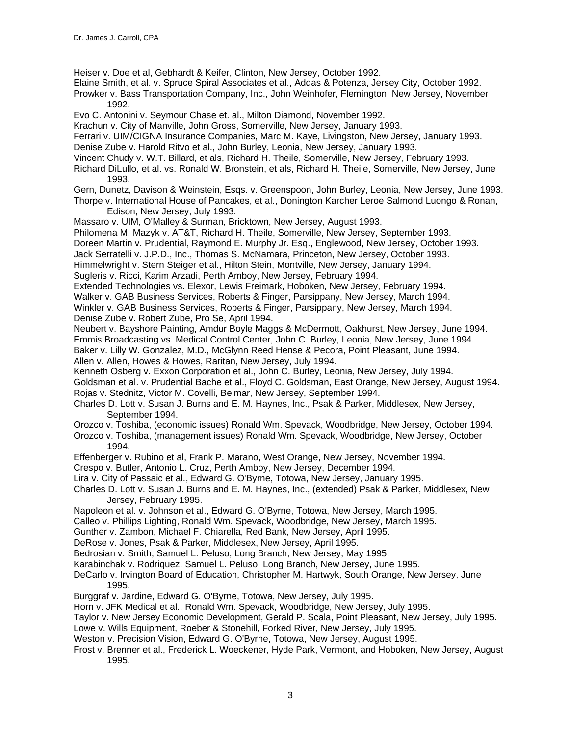Heiser v. Doe et al, Gebhardt & Keifer, Clinton, New Jersey, October 1992.

Elaine Smith, et al. v. Spruce Spiral Associates et al., Addas & Potenza, Jersey City, October 1992.

Prowker v. Bass Transportation Company, Inc., John Weinhofer, Flemington, New Jersey, November 1992.

Evo C. Antonini v. Seymour Chase et. al., Milton Diamond, November 1992.

Krachun v. City of Manville, John Gross, Somerville, New Jersey, January 1993.

Ferrari v. UIM/CIGNA Insurance Companies, Marc M. Kaye, Livingston, New Jersey, January 1993.

Denise Zube v. Harold Ritvo et al., John Burley, Leonia, New Jersey, January 1993.

Vincent Chudy v. W.T. Billard, et als, Richard H. Theile, Somerville, New Jersey, February 1993.

Richard DiLullo, et al. vs. Ronald W. Bronstein, et als, Richard H. Theile, Somerville, New Jersey, June 1993.

Gern, Dunetz, Davison & Weinstein, Esqs. v. Greenspoon, John Burley, Leonia, New Jersey, June 1993.

Thorpe v. International House of Pancakes, et al., Donington Karcher Leroe Salmond Luongo & Ronan, Edison, New Jersey, July 1993.

Massaro v. UIM, O'Malley & Surman, Bricktown, New Jersey, August 1993.

Philomena M. Mazyk v. AT&T, Richard H. Theile, Somerville, New Jersey, September 1993.

Doreen Martin v. Prudential, Raymond E. Murphy Jr. Esq., Englewood, New Jersey, October 1993.

Jack Serratelli v. J.P.D., Inc., Thomas S. McNamara, Princeton, New Jersey, October 1993.

Himmelwright v. Stern Steiger et al., Hilton Stein, Montville, New Jersey, January 1994.

Sugleris v. Ricci, Karim Arzadi, Perth Amboy, New Jersey, February 1994.

Extended Technologies vs. Elexor, Lewis Freimark, Hoboken, New Jersey, February 1994.

Walker v. GAB Business Services, Roberts & Finger, Parsippany, New Jersey, March 1994.

Winkler v. GAB Business Services, Roberts & Finger, Parsippany, New Jersey, March 1994. Denise Zube v. Robert Zube, Pro Se, April 1994.

Neubert v. Bayshore Painting, Amdur Boyle Maggs & McDermott, Oakhurst, New Jersey, June 1994. Emmis Broadcasting vs. Medical Control Center, John C. Burley, Leonia, New Jersey, June 1994. Baker v. Lilly W. Gonzalez, M.D., McGlynn Reed Hense & Pecora, Point Pleasant, June 1994. Allen v. Allen, Howes & Howes, Raritan, New Jersey, July 1994.

Kenneth Osberg v. Exxon Corporation et al., John C. Burley, Leonia, New Jersey, July 1994.

Goldsman et al. v. Prudential Bache et al., Floyd C. Goldsman, East Orange, New Jersey, August 1994. Rojas v. Stednitz, Victor M. Covelli, Belmar, New Jersey, September 1994.

Charles D. Lott v. Susan J. Burns and E. M. Haynes, Inc., Psak & Parker, Middlesex, New Jersey, September 1994.

Orozco v. Toshiba, (economic issues) Ronald Wm. Spevack, Woodbridge, New Jersey, October 1994. Orozco v. Toshiba, (management issues) Ronald Wm. Spevack, Woodbridge, New Jersey, October 1994.

Effenberger v. Rubino et al, Frank P. Marano, West Orange, New Jersey, November 1994.

Crespo v. Butler, Antonio L. Cruz, Perth Amboy, New Jersey, December 1994.

Lira v. City of Passaic et al., Edward G. O'Byrne, Totowa, New Jersey, January 1995.

Charles D. Lott v. Susan J. Burns and E. M. Haynes, Inc., (extended) Psak & Parker, Middlesex, New Jersey, February 1995.

Napoleon et al. v. Johnson et al., Edward G. O'Byrne, Totowa, New Jersey, March 1995.

Calleo v. Phillips Lighting, Ronald Wm. Spevack, Woodbridge, New Jersey, March 1995.

Gunther v. Zambon, Michael F. Chiarella, Red Bank, New Jersey, April 1995.

DeRose v. Jones, Psak & Parker, Middlesex, New Jersey, April 1995.

Bedrosian v. Smith, Samuel L. Peluso, Long Branch, New Jersey, May 1995.

Karabinchak v. Rodriquez, Samuel L. Peluso, Long Branch, New Jersey, June 1995.

- DeCarlo v. Irvington Board of Education, Christopher M. Hartwyk, South Orange, New Jersey, June 1995.
- Burggraf v. Jardine, Edward G. O'Byrne, Totowa, New Jersey, July 1995.

Horn v. JFK Medical et al., Ronald Wm. Spevack, Woodbridge, New Jersey, July 1995.

Taylor v. New Jersey Economic Development, Gerald P. Scala, Point Pleasant, New Jersey, July 1995.

Lowe v. Wills Equipment, Roeber & Stonehill, Forked River, New Jersey, July 1995.

Weston v. Precision Vision, Edward G. O'Byrne, Totowa, New Jersey, August 1995.

Frost v. Brenner et al., Frederick L. Woeckener, Hyde Park, Vermont, and Hoboken, New Jersey, August 1995.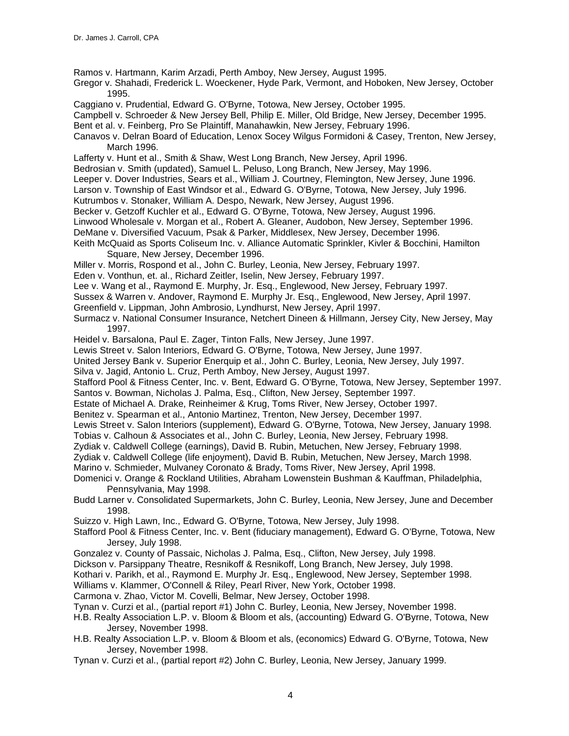Ramos v. Hartmann, Karim Arzadi, Perth Amboy, New Jersey, August 1995.

- Gregor v. Shahadi, Frederick L. Woeckener, Hyde Park, Vermont, and Hoboken, New Jersey, October 1995.
- Caggiano v. Prudential, Edward G. O'Byrne, Totowa, New Jersey, October 1995.
- Campbell v. Schroeder & New Jersey Bell, Philip E. Miller, Old Bridge, New Jersey, December 1995.
- Bent et al. v. Feinberg, Pro Se Plaintiff, Manahawkin, New Jersey, February 1996.
- Canavos v. Delran Board of Education, Lenox Socey Wilgus Formidoni & Casey, Trenton, New Jersey, March 1996.
- Lafferty v. Hunt et al., Smith & Shaw, West Long Branch, New Jersey, April 1996.
- Bedrosian v. Smith (updated), Samuel L. Peluso, Long Branch, New Jersey, May 1996.
- Leeper v. Dover Industries, Sears et al., William J. Courtney, Flemington, New Jersey, June 1996.
- Larson v. Township of East Windsor et al., Edward G. O'Byrne, Totowa, New Jersey, July 1996.
- Kutrumbos v. Stonaker, William A. Despo, Newark, New Jersey, August 1996.
- Becker v. Getzoff Kuchler et al., Edward G. O'Byrne, Totowa, New Jersey, August 1996.
- Linwood Wholesale v. Morgan et al., Robert A. Gleaner, Audobon, New Jersey, September 1996.
- DeMane v. Diversified Vacuum, Psak & Parker, Middlesex, New Jersey, December 1996.
- Keith McQuaid as Sports Coliseum Inc. v. Alliance Automatic Sprinkler, Kivler & Bocchini, Hamilton Square, New Jersey, December 1996.
- Miller v. Morris, Rospond et al., John C. Burley, Leonia, New Jersey, February 1997.
- Eden v. Vonthun, et. al., Richard Zeitler, Iselin, New Jersey, February 1997.
- Lee v. Wang et al., Raymond E. Murphy, Jr. Esq., Englewood, New Jersey, February 1997.
- Sussex & Warren v. Andover, Raymond E. Murphy Jr. Esq., Englewood, New Jersey, April 1997.
- Greenfield v. Lippman, John Ambrosio, Lyndhurst, New Jersey, April 1997.
- Surmacz v. National Consumer Insurance, Netchert Dineen & Hillmann, Jersey City, New Jersey, May 1997.
- Heidel v. Barsalona, Paul E. Zager, Tinton Falls, New Jersey, June 1997.
- Lewis Street v. Salon Interiors, Edward G. O'Byrne, Totowa, New Jersey, June 1997.
- United Jersey Bank v. Superior Enerquip et al., John C. Burley, Leonia, New Jersey, July 1997.
- Silva v. Jagid, Antonio L. Cruz, Perth Amboy, New Jersey, August 1997.
- Stafford Pool & Fitness Center, Inc. v. Bent, Edward G. O'Byrne, Totowa, New Jersey, September 1997.
- Santos v. Bowman, Nicholas J. Palma, Esq., Clifton, New Jersey, September 1997.
- Estate of Michael A. Drake, Reinheimer & Krug, Toms River, New Jersey, October 1997.
- Benitez v. Spearman et al., Antonio Martinez, Trenton, New Jersey, December 1997.
- Lewis Street v. Salon Interiors (supplement), Edward G. O'Byrne, Totowa, New Jersey, January 1998.
- Tobias v. Calhoun & Associates et al., John C. Burley, Leonia, New Jersey, February 1998.
- Zydiak v. Caldwell College (earnings), David B. Rubin, Metuchen, New Jersey, February 1998.
- Zydiak v. Caldwell College (life enjoyment), David B. Rubin, Metuchen, New Jersey, March 1998.
- Marino v. Schmieder, Mulvaney Coronato & Brady, Toms River, New Jersey, April 1998.
- Domenici v. Orange & Rockland Utilities, Abraham Lowenstein Bushman & Kauffman, Philadelphia, Pennsylvania, May 1998.
- Budd Larner v. Consolidated Supermarkets, John C. Burley, Leonia, New Jersey, June and December 1998.
- Suizzo v. High Lawn, Inc., Edward G. O'Byrne, Totowa, New Jersey, July 1998.
- Stafford Pool & Fitness Center, Inc. v. Bent (fiduciary management), Edward G. O'Byrne, Totowa, New Jersey, July 1998.
- Gonzalez v. County of Passaic, Nicholas J. Palma, Esq., Clifton, New Jersey, July 1998.
- Dickson v. Parsippany Theatre, Resnikoff & Resnikoff, Long Branch, New Jersey, July 1998.
- Kothari v. Parikh, et al., Raymond E. Murphy Jr. Esq., Englewood, New Jersey, September 1998.
- Williams v. Klammer, O'Connell & Riley, Pearl River, New York, October 1998.
- Carmona v. Zhao, Victor M. Covelli, Belmar, New Jersey, October 1998.
- Tynan v. Curzi et al., (partial report #1) John C. Burley, Leonia, New Jersey, November 1998.
- H.B. Realty Association L.P. v. Bloom & Bloom et als, (accounting) Edward G. O'Byrne, Totowa, New Jersey, November 1998.
- H.B. Realty Association L.P. v. Bloom & Bloom et als, (economics) Edward G. O'Byrne, Totowa, New Jersey, November 1998.
- Tynan v. Curzi et al., (partial report #2) John C. Burley, Leonia, New Jersey, January 1999.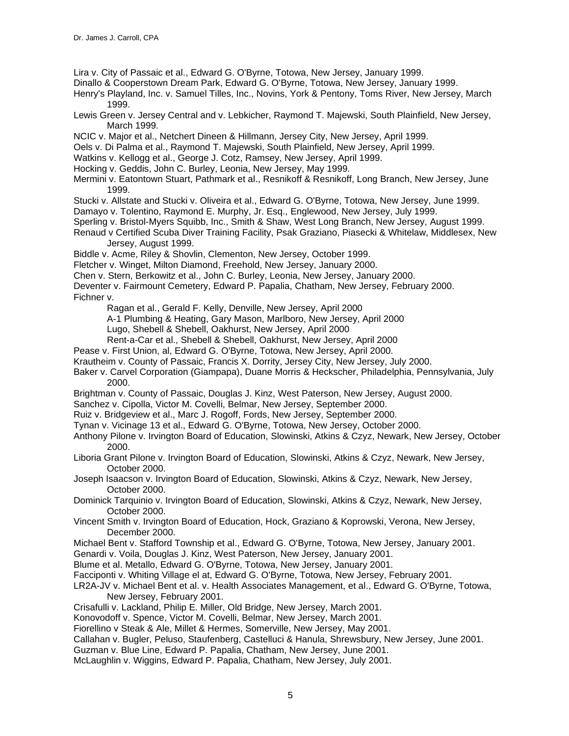Lira v. City of Passaic et al., Edward G. O'Byrne, Totowa, New Jersey, January 1999.

Dinallo & Cooperstown Dream Park, Edward G. O'Byrne, Totowa, New Jersey, January 1999.

Henry's Playland, Inc. v. Samuel Tilles, Inc., Novins, York & Pentony, Toms River, New Jersey, March 1999.

Lewis Green v. Jersey Central and v. Lebkicher, Raymond T. Majewski, South Plainfield, New Jersey, March 1999.

NCIC v. Major et al., Netchert Dineen & Hillmann, Jersey City, New Jersey, April 1999.

Oels v. Di Palma et al., Raymond T. Majewski, South Plainfield, New Jersey, April 1999.

Watkins v. Kellogg et al., George J. Cotz, Ramsey, New Jersey, April 1999.

Hocking v. Geddis, John C. Burley, Leonia, New Jersey, May 1999.

Mermini v. Eatontown Stuart, Pathmark et al., Resnikoff & Resnikoff, Long Branch, New Jersey, June 1999.

Stucki v. Allstate and Stucki v. Oliveira et al., Edward G. O'Byrne, Totowa, New Jersey, June 1999.

Damayo v. Tolentino, Raymond E. Murphy, Jr. Esq., Englewood, New Jersey, July 1999.

- Sperling v. Bristol-Myers Squibb, Inc., Smith & Shaw, West Long Branch, New Jersey, August 1999.
- Renaud v Certified Scuba Diver Training Facility, Psak Graziano, Piasecki & Whitelaw, Middlesex, New Jersey, August 1999.

Biddle v. Acme, Riley & Shovlin, Clementon, New Jersey, October 1999.

Fletcher v. Winget, Milton Diamond, Freehold, New Jersey, January 2000.

Chen v. Stern, Berkowitz et al., John C. Burley, Leonia, New Jersey, January 2000.

Deventer v. Fairmount Cemetery, Edward P. Papalia, Chatham, New Jersey, February 2000. Fichner v.

Ragan et al., Gerald F. Kelly, Denville, New Jersey, April 2000

A-1 Plumbing & Heating, Gary Mason, Marlboro, New Jersey, April 2000

Lugo, Shebell & Shebell, Oakhurst, New Jersey, April 2000

Rent-a-Car et al., Shebell & Shebell, Oakhurst, New Jersey, April 2000

Pease v. First Union, al, Edward G. O'Byrne, Totowa, New Jersey, April 2000.

Krautheim v. County of Passaic, Francis X. Dorrity, Jersey City, New Jersey, July 2000.

Baker v. Carvel Corporation (Giampapa), Duane Morris & Heckscher, Philadelphia, Pennsylvania, July 2000.

Brightman v. County of Passaic, Douglas J. Kinz, West Paterson, New Jersey, August 2000.

Sanchez v. Cipolla, Victor M. Covelli, Belmar, New Jersey, September 2000.

Ruiz v. Bridgeview et al., Marc J. Rogoff, Fords, New Jersey, September 2000.

Tynan v. Vicinage 13 et al., Edward G. O'Byrne, Totowa, New Jersey, October 2000.

Anthony Pilone v. Irvington Board of Education, Slowinski, Atkins & Czyz, Newark, New Jersey, October 2000.

Liboria Grant Pilone v. Irvington Board of Education, Slowinski, Atkins & Czyz, Newark, New Jersey, October 2000.

Joseph Isaacson v. Irvington Board of Education, Slowinski, Atkins & Czyz, Newark, New Jersey, October 2000.

Dominick Tarquinio v. Irvington Board of Education, Slowinski, Atkins & Czyz, Newark, New Jersey, October 2000.

Vincent Smith v. Irvington Board of Education, Hock, Graziano & Koprowski, Verona, New Jersey, December 2000.

Michael Bent v. Stafford Township et al., Edward G. O'Byrne, Totowa, New Jersey, January 2001.

Genardi v. Voila, Douglas J. Kinz, West Paterson, New Jersey, January 2001.

Blume et al. Metallo, Edward G. O'Byrne, Totowa, New Jersey, January 2001.

Facciponti v. Whiting Village el at, Edward G. O'Byrne, Totowa, New Jersey, February 2001.

LR2A-JV v. Michael Bent et al. v. Health Associates Management, et al., Edward G. O'Byrne, Totowa, New Jersey, February 2001.

Crisafulli v. Lackland, Philip E. Miller, Old Bridge, New Jersey, March 2001.

Konovodoff v. Spence, Victor M. Covelli, Belmar, New Jersey, March 2001.

Fiorellino v Steak & Ale, Millet & Hermes, Somerville, New Jersey, May 2001.

Callahan v. Bugler, Peluso, Staufenberg, Castelluci & Hanula, Shrewsbury, New Jersey, June 2001.

Guzman v. Blue Line, Edward P. Papalia, Chatham, New Jersey, June 2001.

McLaughlin v. Wiggins, Edward P. Papalia, Chatham, New Jersey, July 2001.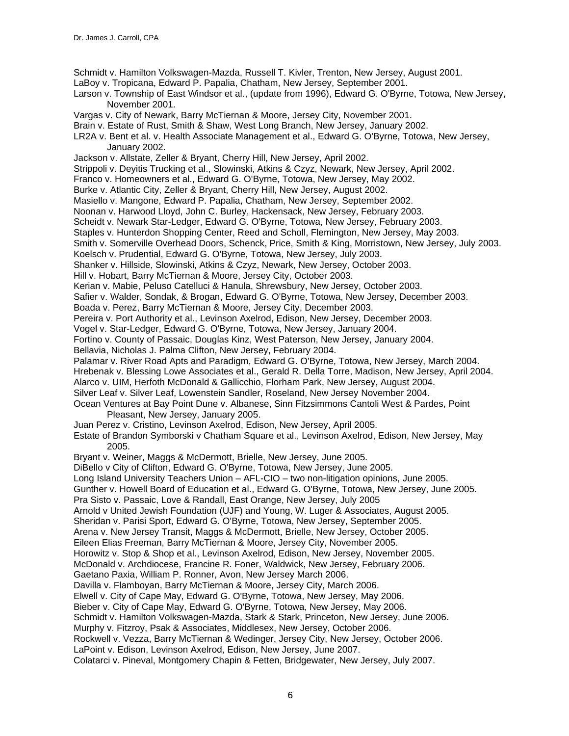Schmidt v. Hamilton Volkswagen-Mazda, Russell T. Kivler, Trenton, New Jersey, August 2001.

LaBoy v. Tropicana, Edward P. Papalia, Chatham, New Jersey, September 2001.

Larson v. Township of East Windsor et al., (update from 1996), Edward G. O'Byrne, Totowa, New Jersey, November 2001.

- Vargas v. City of Newark, Barry McTiernan & Moore, Jersey City, November 2001.
- Brain v. Estate of Rust, Smith & Shaw, West Long Branch, New Jersey, January 2002.

LR2A v. Bent et al. v. Health Associate Management et al., Edward G. O'Byrne, Totowa, New Jersey, January 2002.

Jackson v. Allstate, Zeller & Bryant, Cherry Hill, New Jersey, April 2002.

Strippoli v. Deyitis Trucking et al., Slowinski, Atkins & Czyz, Newark, New Jersey, April 2002.

Franco v. Homeowners et al., Edward G. O'Byrne, Totowa, New Jersey, May 2002.

Burke v. Atlantic City, Zeller & Bryant, Cherry Hill, New Jersey, August 2002.

Masiello v. Mangone, Edward P. Papalia, Chatham, New Jersey, September 2002.

Noonan v. Harwood Lloyd, John C. Burley, Hackensack, New Jersey, February 2003.

Scheidt v. Newark Star-Ledger, Edward G. O'Byrne, Totowa, New Jersey, February 2003.

Staples v. Hunterdon Shopping Center, Reed and Scholl, Flemington, New Jersey, May 2003.

Smith v. Somerville Overhead Doors, Schenck, Price, Smith & King, Morristown, New Jersey, July 2003.

Koelsch v. Prudential, Edward G. O'Byrne, Totowa, New Jersey, July 2003.

Shanker v. Hillside, Slowinski, Atkins & Czyz, Newark, New Jersey, October 2003.

Hill v. Hobart, Barry McTiernan & Moore, Jersey City, October 2003.

Kerian v. Mabie, Peluso Catelluci & Hanula, Shrewsbury, New Jersey, October 2003.

- Safier v. Walder, Sondak, & Brogan, Edward G. O'Byrne, Totowa, New Jersey, December 2003.
- Boada v. Perez, Barry McTiernan & Moore, Jersey City, December 2003.

Pereira v. Port Authority et al., Levinson Axelrod, Edison, New Jersey, December 2003.

Vogel v. Star-Ledger, Edward G. O'Byrne, Totowa, New Jersey, January 2004.

Fortino v. County of Passaic, Douglas Kinz, West Paterson, New Jersey, January 2004.

Bellavia, Nicholas J. Palma Clifton, New Jersey, February 2004.

Palamar v. River Road Apts and Paradigm, Edward G. O'Byrne, Totowa, New Jersey, March 2004.

Hrebenak v. Blessing Lowe Associates et al., Gerald R. Della Torre, Madison, New Jersey, April 2004.

Alarco v. UIM, Herfoth McDonald & Gallicchio, Florham Park, New Jersey, August 2004.

Silver Leaf v. Silver Leaf, Lowenstein Sandler, Roseland, New Jersey November 2004.

Ocean Ventures at Bay Point Dune v. Albanese, Sinn Fitzsimmons Cantoli West & Pardes, Point Pleasant, New Jersey, January 2005.

Juan Perez v. Cristino, Levinson Axelrod, Edison, New Jersey, April 2005.

Estate of Brandon Symborski v Chatham Square et al., Levinson Axelrod, Edison, New Jersey, May 2005.

Bryant v. Weiner, Maggs & McDermott, Brielle, New Jersey, June 2005.

DiBello v City of Clifton, Edward G. O'Byrne, Totowa, New Jersey, June 2005.

Long Island University Teachers Union – AFL-CIO – two non-litigation opinions, June 2005.

Gunther v. Howell Board of Education et al., Edward G. O'Byrne, Totowa, New Jersey, June 2005.

Pra Sisto v. Passaic, Love & Randall, East Orange, New Jersey, July 2005

Arnold v United Jewish Foundation (UJF) and Young, W. Luger & Associates, August 2005.

Sheridan v. Parisi Sport, Edward G. O'Byrne, Totowa, New Jersey, September 2005.

Arena v. New Jersey Transit, Maggs & McDermott, Brielle, New Jersey, October 2005.

Eileen Elias Freeman, Barry McTiernan & Moore, Jersey City, November 2005.

Horowitz v. Stop & Shop et al., Levinson Axelrod, Edison, New Jersey, November 2005.

McDonald v. Archdiocese, Francine R. Foner, Waldwick, New Jersey, February 2006.

Gaetano Paxia, William P. Ronner, Avon, New Jersey March 2006.

Davilla v. Flamboyan, Barry McTiernan & Moore, Jersey City, March 2006.

Elwell v. City of Cape May, Edward G. O'Byrne, Totowa, New Jersey, May 2006.

Bieber v. City of Cape May, Edward G. O'Byrne, Totowa, New Jersey, May 2006.

Schmidt v. Hamilton Volkswagen-Mazda, Stark & Stark, Princeton, New Jersey, June 2006.

Murphy v. Fitzroy, Psak & Associates, Middlesex, New Jersey, October 2006.

Rockwell v. Vezza, Barry McTiernan & Wedinger, Jersey City, New Jersey, October 2006.

LaPoint v. Edison, Levinson Axelrod, Edison, New Jersey, June 2007.

Colatarci v. Pineval, Montgomery Chapin & Fetten, Bridgewater, New Jersey, July 2007.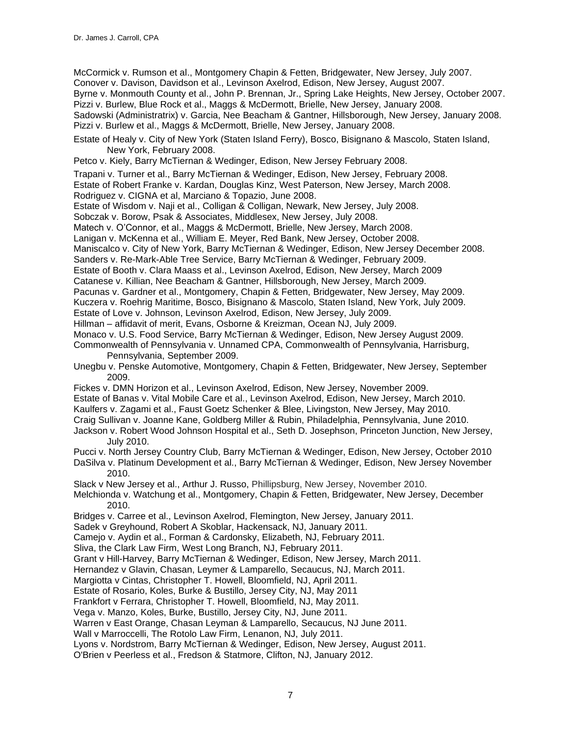McCormick v. Rumson et al., Montgomery Chapin & Fetten, Bridgewater, New Jersey, July 2007. Conover v. Davison, Davidson et al., Levinson Axelrod, Edison, New Jersey, August 2007. Byrne v. Monmouth County et al., John P. Brennan, Jr., Spring Lake Heights, New Jersey, October 2007. Pizzi v. Burlew, Blue Rock et al., Maggs & McDermott, Brielle, New Jersey, January 2008. Sadowski (Administratrix) v. Garcia, Nee Beacham & Gantner, Hillsborough, New Jersey, January 2008. Pizzi v. Burlew et al., Maggs & McDermott, Brielle, New Jersey, January 2008.

- Estate of Healy v. City of New York (Staten Island Ferry), Bosco, Bisignano & Mascolo, Staten Island, New York, February 2008.
- Petco v. Kiely, Barry McTiernan & Wedinger, Edison, New Jersey February 2008.
- Trapani v. Turner et al., Barry McTiernan & Wedinger, Edison, New Jersey, February 2008.
- Estate of Robert Franke v. Kardan, Douglas Kinz, West Paterson, New Jersey, March 2008.

Rodriguez v. CIGNA et al, Marciano & Topazio, June 2008.

- Estate of Wisdom v. Naji et al., Colligan & Colligan, Newark, New Jersey, July 2008.
- Sobczak v. Borow, Psak & Associates, Middlesex, New Jersey, July 2008.
- Matech v. O'Connor, et al., Maggs & McDermott, Brielle, New Jersey, March 2008.
- Lanigan v. McKenna et al., William E. Meyer, Red Bank, New Jersey, October 2008.
- Maniscalco v. City of New York, Barry McTiernan & Wedinger, Edison, New Jersey December 2008.
- Sanders v. Re-Mark-Able Tree Service, Barry McTiernan & Wedinger, February 2009.
- Estate of Booth v. Clara Maass et al., Levinson Axelrod, Edison, New Jersey, March 2009
- Catanese v. Killian, Nee Beacham & Gantner, Hillsborough, New Jersey, March 2009.
- Pacunas v. Gardner et al., Montgomery, Chapin & Fetten, Bridgewater, New Jersey, May 2009.
- Kuczera v. Roehrig Maritime, Bosco, Bisignano & Mascolo, Staten Island, New York, July 2009.
- Estate of Love v. Johnson, Levinson Axelrod, Edison, New Jersey, July 2009.
- Hillman affidavit of merit, Evans, Osborne & Kreizman, Ocean NJ, July 2009.
- Monaco v. U.S. Food Service, Barry McTiernan & Wedinger, Edison, New Jersey August 2009.
- Commonwealth of Pennsylvania v. Unnamed CPA, Commonwealth of Pennsylvania, Harrisburg, Pennsylvania, September 2009.
- Unegbu v. Penske Automotive, Montgomery, Chapin & Fetten, Bridgewater, New Jersey, September 2009.
- Fickes v. DMN Horizon et al., Levinson Axelrod, Edison, New Jersey, November 2009.
- Estate of Banas v. Vital Mobile Care et al., Levinson Axelrod, Edison, New Jersey, March 2010.
- Kaulfers v. Zagami et al., Faust Goetz Schenker & Blee, Livingston, New Jersey, May 2010.
- Craig Sullivan v. Joanne Kane, Goldberg Miller & Rubin, Philadelphia, Pennsylvania, June 2010.
- Jackson v. Robert Wood Johnson Hospital et al., Seth D. Josephson, Princeton Junction, New Jersey, July 2010.
- Pucci v. North Jersey Country Club, Barry McTiernan & Wedinger, Edison, New Jersey, October 2010 DaSilva v. Platinum Development et al., Barry McTiernan & Wedinger, Edison, New Jersey November
	- 2010.
- Slack v New Jersey et al., Arthur J. Russo, Phillipsburg, New Jersey, November 2010.
- Melchionda v. Watchung et al., Montgomery, Chapin & Fetten, Bridgewater, New Jersey, December 2010.
- Bridges v. Carree et al., Levinson Axelrod, Flemington, New Jersey, January 2011.
- Sadek v Greyhound, Robert A Skoblar, Hackensack, NJ, January 2011.
- Camejo v. Aydin et al., Forman & Cardonsky, Elizabeth, NJ, February 2011.
- Sliva, the Clark Law Firm, West Long Branch, NJ, February 2011.
- Grant v Hill-Harvey, Barry McTiernan & Wedinger, Edison, New Jersey, March 2011.
- Hernandez v Glavin, Chasan, Leymer & Lamparello, Secaucus, NJ, March 2011.
- Margiotta v Cintas, Christopher T. Howell, Bloomfield, NJ, April 2011.
- Estate of Rosario, Koles, Burke & Bustillo, Jersey City, NJ, May 2011
- Frankfort v Ferrara, Christopher T. Howell, Bloomfield, NJ, May 2011.
- Vega v. Manzo, Koles, Burke, Bustillo, Jersey City, NJ, June 2011.
- Warren v East Orange, Chasan Leyman & Lamparello, Secaucus, NJ June 2011.
- Wall v Marroccelli, The Rotolo Law Firm, Lenanon, NJ, July 2011.
- Lyons v. Nordstrom, Barry McTiernan & Wedinger, Edison, New Jersey, August 2011.
- O'Brien v Peerless et al., Fredson & Statmore, Clifton, NJ, January 2012.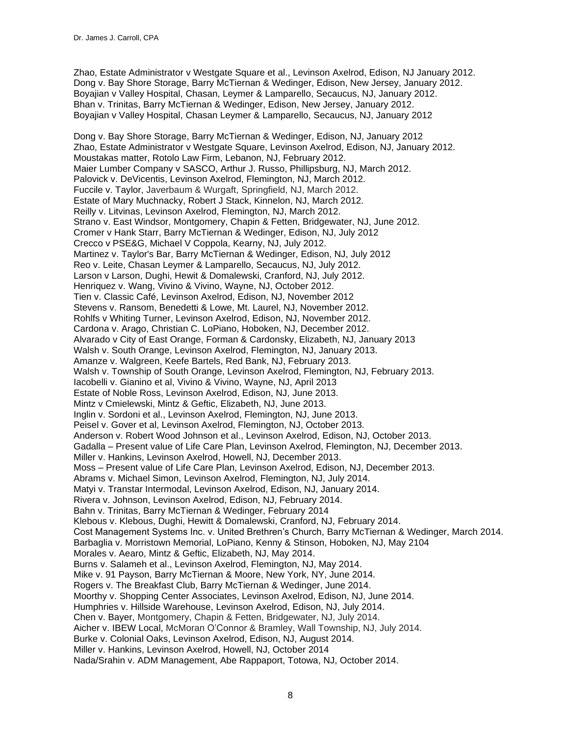Zhao, Estate Administrator v Westgate Square et al., Levinson Axelrod, Edison, NJ January 2012. Dong v. Bay Shore Storage, Barry McTiernan & Wedinger, Edison, New Jersey, January 2012. Boyajian v Valley Hospital, Chasan, Leymer & Lamparello, Secaucus, NJ, January 2012. Bhan v. Trinitas, Barry McTiernan & Wedinger, Edison, New Jersey, January 2012. Boyajian v Valley Hospital, Chasan Leymer & Lamparello, Secaucus, NJ, January 2012

Dong v. Bay Shore Storage, Barry McTiernan & Wedinger, Edison, NJ, January 2012 Zhao, Estate Administrator v Westgate Square, Levinson Axelrod, Edison, NJ, January 2012. Moustakas matter, Rotolo Law Firm, Lebanon, NJ, February 2012. Maier Lumber Company v SASCO, Arthur J. Russo, Phillipsburg, NJ, March 2012. Palovick v. DeVicentis, Levinson Axelrod, Flemington, NJ, March 2012. Fuccile v. Taylor, Javerbaum & Wurgaft, Springfield, NJ, March 2012. Estate of Mary Muchnacky, Robert J Stack, Kinnelon, NJ, March 2012. Reilly v. Litvinas, Levinson Axelrod, Flemington, NJ, March 2012. Strano v. East Windsor, Montgomery, Chapin & Fetten, Bridgewater, NJ, June 2012. Cromer v Hank Starr, Barry McTiernan & Wedinger, Edison, NJ, July 2012 Crecco v PSE&G, Michael V Coppola, Kearny, NJ, July 2012. Martinez v. Taylor's Bar, Barry McTiernan & Wedinger, Edison, NJ, July 2012 Reo v. Leite, Chasan Leymer & Lamparello, Secaucus, NJ, July 2012. Larson v Larson, Dughi, Hewit & Domalewski, Cranford, NJ, July 2012. Henriquez v. Wang, Vivino & Vivino, Wayne, NJ, October 2012. Tien v. Classic Café, Levinson Axelrod, Edison, NJ, November 2012 Stevens v. Ransom, Benedetti & Lowe, Mt. Laurel, NJ, November 2012. Rohlfs v Whiting Turner, Levinson Axelrod, Edison, NJ, November 2012. Cardona v. Arago, Christian C. LoPiano, Hoboken, NJ, December 2012. Alvarado v City of East Orange, Forman & Cardonsky, Elizabeth, NJ, January 2013 Walsh v. South Orange, Levinson Axelrod, Flemington, NJ, January 2013. Amanze v. Walgreen, Keefe Bartels, Red Bank, NJ, February 2013. Walsh v. Township of South Orange, Levinson Axelrod, Flemington, NJ, February 2013. Iacobelli v. Gianino et al, Vivino & Vivino, Wayne, NJ, April 2013 Estate of Noble Ross, Levinson Axelrod, Edison, NJ, June 2013. Mintz v Cmielewski, Mintz & Geftic, Elizabeth, NJ, June 2013. Inglin v. Sordoni et al., Levinson Axelrod, Flemington, NJ, June 2013. Peisel v. Gover et al, Levinson Axelrod, Flemington, NJ, October 2013. Anderson v. Robert Wood Johnson et al., Levinson Axelrod, Edison, NJ, October 2013. Gadalla – Present value of Life Care Plan, Levinson Axelrod, Flemington, NJ, December 2013. Miller v. Hankins, Levinson Axelrod, Howell, NJ, December 2013. Moss – Present value of Life Care Plan, Levinson Axelrod, Edison, NJ, December 2013. Abrams v. Michael Simon, Levinson Axelrod, Flemington, NJ, July 2014. Matyi v. Transtar Intermodal, Levinson Axelrod, Edison, NJ, January 2014. Rivera v. Johnson, Levinson Axelrod, Edison, NJ, February 2014. Bahn v. Trinitas, Barry McTiernan & Wedinger, February 2014 Klebous v. Klebous, Dughi, Hewitt & Domalewski, Cranford, NJ, February 2014. Cost Management Systems Inc. v. United Brethren's Church, Barry McTiernan & Wedinger, March 2014. Barbaglia v. Morristown Memorial, LoPiano, Kenny & Stinson, Hoboken, NJ, May 2104 Morales v. Aearo, Mintz & Geftic, Elizabeth, NJ, May 2014. Burns v. Salameh et al., Levinson Axelrod, Flemington, NJ, May 2014. Mike v. 91 Payson, Barry McTiernan & Moore, New York, NY, June 2014. Rogers v. The Breakfast Club, Barry McTiernan & Wedinger, June 2014. Moorthy v. Shopping Center Associates, Levinson Axelrod, Edison, NJ, June 2014. Humphries v. Hillside Warehouse, Levinson Axelrod, Edison, NJ, July 2014. Chen v. Bayer, Montgomery, Chapin & Fetten, Bridgewater, NJ, July 2014. Aicher v. IBEW Local, McMoran O'Connor & Bramley, Wall Township, NJ, July 2014. Burke v. Colonial Oaks, Levinson Axelrod, Edison, NJ, August 2014. Miller v. Hankins, Levinson Axelrod, Howell, NJ, October 2014 Nada/Srahin v. ADM Management, Abe Rappaport, Totowa, NJ, October 2014.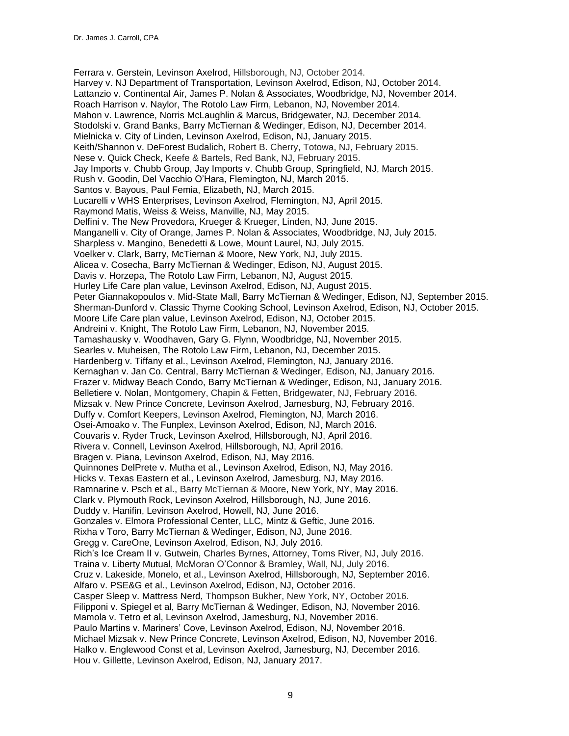Ferrara v. Gerstein, Levinson Axelrod, Hillsborough, NJ, October 2014. Harvey v. NJ Department of Transportation, Levinson Axelrod, Edison, NJ, October 2014. Lattanzio v. Continental Air, James P. Nolan & Associates, Woodbridge, NJ, November 2014. Roach Harrison v. Naylor, The Rotolo Law Firm, Lebanon, NJ, November 2014. Mahon v. Lawrence, Norris McLaughlin & Marcus, Bridgewater, NJ, December 2014. Stodolski v. Grand Banks, Barry McTiernan & Wedinger, Edison, NJ, December 2014. Mielnicka v. City of Linden, Levinson Axelrod, Edison, NJ, January 2015. Keith/Shannon v. DeForest Budalich, Robert B. Cherry, Totowa, NJ, February 2015. Nese v. Quick Check, Keefe & Bartels, Red Bank, NJ, February 2015. Jay Imports v. Chubb Group, Jay Imports v. Chubb Group, Springfield, NJ, March 2015. Rush v. Goodin, Del Vacchio O'Hara, Flemington, NJ, March 2015. Santos v. Bayous, Paul Femia, Elizabeth, NJ, March 2015. Lucarelli v WHS Enterprises, Levinson Axelrod, Flemington, NJ, April 2015. Raymond Matis, Weiss & Weiss, Manville, NJ, May 2015. Delfini v. The New Provedora, Krueger & Krueger, Linden, NJ, June 2015. Manganelli v. City of Orange, James P. Nolan & Associates, Woodbridge, NJ, July 2015. Sharpless v. Mangino, Benedetti & Lowe, Mount Laurel, NJ, July 2015. Voelker v. Clark, Barry, McTiernan & Moore, New York, NJ, July 2015. Alicea v. Cosecha, Barry McTiernan & Wedinger, Edison, NJ, August 2015. Davis v. Horzepa, The Rotolo Law Firm, Lebanon, NJ, August 2015. Hurley Life Care plan value, Levinson Axelrod, Edison, NJ, August 2015. Peter Giannakopoulos v. Mid-State Mall, Barry McTiernan & Wedinger, Edison, NJ, September 2015. Sherman-Dunford v. Classic Thyme Cooking School, Levinson Axelrod, Edison, NJ, October 2015. Moore Life Care plan value, Levinson Axelrod, Edison, NJ, October 2015. Andreini v. Knight, The Rotolo Law Firm, Lebanon, NJ, November 2015. Tamashausky v. Woodhaven, Gary G. Flynn, Woodbridge, NJ, November 2015. Searles v. Muheisen, The Rotolo Law Firm, Lebanon, NJ, December 2015. Hardenberg v. Tiffany et al., Levinson Axelrod, Flemington, NJ, January 2016. Kernaghan v. Jan Co. Central, Barry McTiernan & Wedinger, Edison, NJ, January 2016. Frazer v. Midway Beach Condo, Barry McTiernan & Wedinger, Edison, NJ, January 2016. Belletiere v. Nolan, Montgomery, Chapin & Fetten, Bridgewater, NJ, February 2016. Mizsak v. New Prince Concrete, Levinson Axelrod, Jamesburg, NJ, February 2016. Duffy v. Comfort Keepers, Levinson Axelrod, Flemington, NJ, March 2016. Osei-Amoako v. The Funplex, Levinson Axelrod, Edison, NJ, March 2016. Couvaris v. Ryder Truck, Levinson Axelrod, Hillsborough, NJ, April 2016. Rivera v. Connell, Levinson Axelrod, Hillsborough, NJ, April 2016. Bragen v. Piana, Levinson Axelrod, Edison, NJ, May 2016. Quinnones DelPrete v. Mutha et al., Levinson Axelrod, Edison, NJ, May 2016. Hicks v. Texas Eastern et al., Levinson Axelrod, Jamesburg, NJ, May 2016. Ramnarine v. Psch et al., Barry McTiernan & Moore, New York, NY, May 2016. Clark v. Plymouth Rock, Levinson Axelrod, Hillsborough, NJ, June 2016. Duddy v. Hanifin, Levinson Axelrod, Howell, NJ, June 2016. Gonzales v. Elmora Professional Center, LLC, Mintz & Geftic, June 2016. Rixha v Toro, Barry McTiernan & Wedinger, Edison, NJ, June 2016. Gregg v. CareOne, Levinson Axelrod, Edison, NJ, July 2016. Rich's Ice Cream II v. Gutwein, Charles Byrnes, Attorney, Toms River, NJ, July 2016. Traina v. Liberty Mutual, McMoran O'Connor & Bramley, Wall, NJ, July 2016. Cruz v. Lakeside, Monelo, et al., Levinson Axelrod, Hillsborough, NJ, September 2016. Alfaro v. PSE&G et al., Levinson Axelrod, Edison, NJ, October 2016. Casper Sleep v. Mattress Nerd, Thompson Bukher, New York, NY, October 2016. Filipponi v. Spiegel et al, Barry McTiernan & Wedinger, Edison, NJ, November 2016. Mamola v. Tetro et al, Levinson Axelrod, Jamesburg, NJ, November 2016. Paulo Martins v. Mariners' Cove, Levinson Axelrod, Edison, NJ, November 2016. Michael Mizsak v. New Prince Concrete, Levinson Axelrod, Edison, NJ, November 2016. Halko v. Englewood Const et al, Levinson Axelrod, Jamesburg, NJ, December 2016. Hou v. Gillette, Levinson Axelrod, Edison, NJ, January 2017.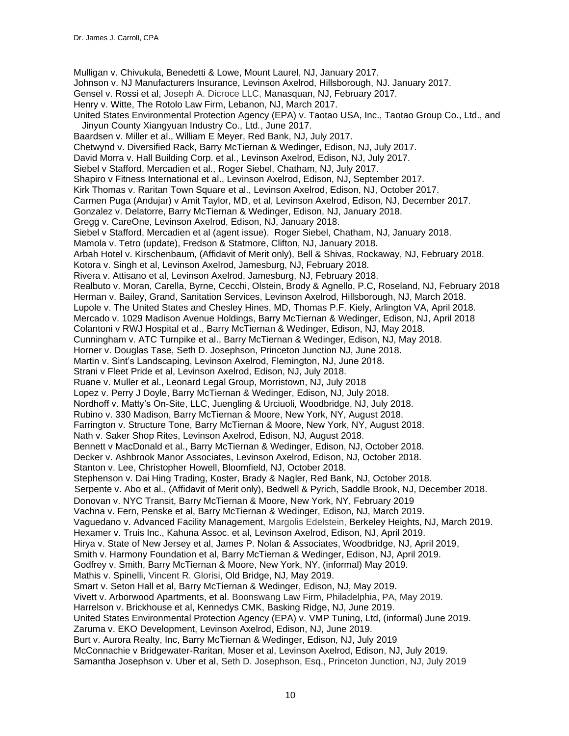Mulligan v. Chivukula, Benedetti & Lowe, Mount Laurel, NJ, January 2017. Johnson v. NJ Manufacturers Insurance, Levinson Axelrod, Hillsborough, NJ. January 2017. Gensel v. Rossi et al, Joseph A. Dicroce LLC, Manasquan, NJ, February 2017. Henry v. Witte, The Rotolo Law Firm, Lebanon, NJ, March 2017. United States Environmental Protection Agency (EPA) v. Taotao USA, Inc., Taotao Group Co., Ltd., and Jinyun County Xiangyuan Industry Co., Ltd*.*, June 2017. Baardsen v. Miller et al., William E Meyer, Red Bank, NJ, July 2017. Chetwynd v. Diversified Rack, Barry McTiernan & Wedinger, Edison, NJ, July 2017. David Morra v. Hall Building Corp. et al., Levinson Axelrod, Edison, NJ, July 2017. Siebel v Stafford, Mercadien et al., Roger Siebel, Chatham, NJ, July 2017. Shapiro v Fitness International et al., Levinson Axelrod, Edison, NJ, September 2017. Kirk Thomas v. Raritan Town Square et al., Levinson Axelrod, Edison, NJ, October 2017. Carmen Puga (Andujar) v Amit Taylor, MD, et al, Levinson Axelrod, Edison, NJ, December 2017. Gonzalez v. Delatorre, Barry McTiernan & Wedinger, Edison, NJ, January 2018. Gregg v. CareOne, Levinson Axelrod, Edison, NJ, January 2018. Siebel v Stafford, Mercadien et al (agent issue). Roger Siebel, Chatham, NJ, January 2018. Mamola v. Tetro (update), Fredson & Statmore, Clifton, NJ, January 2018. Arbah Hotel v. Kirschenbaum, (Affidavit of Merit only), Bell & Shivas, Rockaway, NJ, February 2018. Kotora v. Singh et al, Levinson Axelrod, Jamesburg, NJ, February 2018. Rivera v. Attisano et al, Levinson Axelrod, Jamesburg, NJ, February 2018. Realbuto v. Moran, Carella, Byrne, Cecchi, Olstein, Brody & Agnello, P.C, Roseland, NJ, February 2018 Herman v. Bailey, Grand, Sanitation Services, Levinson Axelrod, Hillsborough, NJ, March 2018. Lupole v. The United States and Chesley Hines, MD, Thomas P.F. Kiely, Arlington VA, April 2018. Mercado v. 1029 Madison Avenue Holdings, Barry McTiernan & Wedinger, Edison, NJ, April 2018 Colantoni v RWJ Hospital et al., Barry McTiernan & Wedinger, Edison, NJ, May 2018. Cunningham v. ATC Turnpike et al., Barry McTiernan & Wedinger, Edison, NJ, May 2018. Horner v. Douglas Tase, Seth D. Josephson, Princeton Junction NJ, June 2018. Martin v. Sint's Landscaping, Levinson Axelrod, Flemington, NJ, June 2018. Strani v Fleet Pride et al, Levinson Axelrod, Edison, NJ, July 2018. Ruane v. Muller et al., Leonard Legal Group, Morristown, NJ, July 2018 Lopez v. Perry J Doyle, Barry McTiernan & Wedinger, Edison, NJ, July 2018. Nordhoff v. Matty's On-Site, LLC, Juengling & Urciuoli, Woodbridge, NJ, July 2018. Rubino v. 330 Madison, Barry McTiernan & Moore, New York, NY, August 2018. Farrington v. Structure Tone, Barry McTiernan & Moore, New York, NY, August 2018. Nath v. Saker Shop Rites, Levinson Axelrod, Edison, NJ, August 2018. Bennett v MacDonald et al., Barry McTiernan & Wedinger, Edison, NJ, October 2018. Decker v. Ashbrook Manor Associates, Levinson Axelrod, Edison, NJ, October 2018. Stanton v. Lee, Christopher Howell, Bloomfield, NJ, October 2018. Stephenson v. Dai Hing Trading, Koster, Brady & Nagler, Red Bank, NJ, October 2018. Serpente v. Abo et al., (Affidavit of Merit only), Bedwell & Pyrich, Saddle Brook, NJ, December 2018. Donovan v. NYC Transit, Barry McTiernan & Moore, New York, NY, February 2019 Vachna v. Fern, Penske et al, Barry McTiernan & Wedinger, Edison, NJ, March 2019. Vaguedano v. Advanced Facility Management, Margolis Edelstein, Berkeley Heights, NJ, March 2019. Hexamer v. Truis Inc., Kahuna Assoc. et al, Levinson Axelrod, Edison, NJ, April 2019. Hirya v. State of New Jersey et al, James P. Nolan & Associates, Woodbridge, NJ, April 2019, Smith v. Harmony Foundation et al, Barry McTiernan & Wedinger, Edison, NJ, April 2019. Godfrey v. Smith, Barry McTiernan & Moore, New York, NY, (informal) May 2019. Mathis v. Spinelli, Vincent R. Glorisi, Old Bridge, NJ, May 2019. Smart v. Seton Hall et al, Barry McTiernan & Wedinger, Edison, NJ, May 2019. Vivett v. Arborwood Apartments, et al. Boonswang Law Firm, Philadelphia, PA, May 2019. Harrelson v. Brickhouse et al, Kennedys CMK, Basking Ridge, NJ, June 2019. United States Environmental Protection Agency (EPA) v. VMP Tuning, Ltd, (informal) June 2019. Zaruma v. EKO Development, Levinson Axelrod, Edison, NJ, June 2019. Burt v. Aurora Realty, Inc, Barry McTiernan & Wedinger, Edison, NJ, July 2019 McConnachie v Bridgewater-Raritan, Moser et al, Levinson Axelrod, Edison, NJ, July 2019. Samantha Josephson v. Uber et al, Seth D. Josephson, Esq., Princeton Junction, NJ, July 2019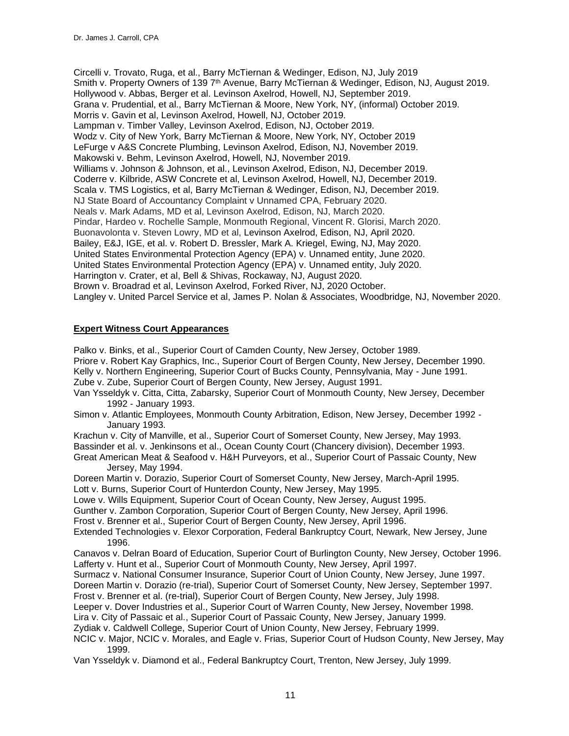Circelli v. Trovato, Ruga, et al., Barry McTiernan & Wedinger, Edison, NJ, July 2019 Smith v. Property Owners of 139 7<sup>th</sup> Avenue, Barry McTiernan & Wedinger, Edison, NJ, August 2019. Hollywood v. Abbas, Berger et al. Levinson Axelrod, Howell, NJ, September 2019. Grana v. Prudential, et al., Barry McTiernan & Moore, New York, NY, (informal) October 2019. Morris v. Gavin et al, Levinson Axelrod, Howell, NJ, October 2019. Lampman v. Timber Valley, Levinson Axelrod, Edison, NJ, October 2019. Wodz v. City of New York, Barry McTiernan & Moore, New York, NY, October 2019 LeFurge v A&S Concrete Plumbing, Levinson Axelrod, Edison, NJ, November 2019. Makowski v. Behm, Levinson Axelrod, Howell, NJ, November 2019. Williams v. Johnson & Johnson, et al., Levinson Axelrod, Edison, NJ, December 2019. Coderre v. Kilbride, ASW Concrete et al, Levinson Axelrod, Howell, NJ, December 2019. Scala v. TMS Logistics, et al, Barry McTiernan & Wedinger, Edison, NJ, December 2019. NJ State Board of Accountancy Complaint v Unnamed CPA, February 2020. Neals v. Mark Adams, MD et al, Levinson Axelrod, Edison, NJ, March 2020. Pindar, Hardeo v. Rochelle Sample, Monmouth Regional, Vincent R. Glorisi, March 2020. Buonavolonta v. Steven Lowry, MD et al, Levinson Axelrod, Edison, NJ, April 2020. Bailey, E&J, IGE, et al. v. Robert D. Bressler, Mark A. Kriegel, Ewing, NJ, May 2020. United States Environmental Protection Agency (EPA) v. Unnamed entity, June 2020. United States Environmental Protection Agency (EPA) v. Unnamed entity, July 2020. Harrington v. Crater, et al, Bell & Shivas, Rockaway, NJ, August 2020. Brown v. Broadrad et al, Levinson Axelrod, Forked River, NJ, 2020 October. Langley v. United Parcel Service et al, James P. Nolan & Associates, Woodbridge, NJ, November 2020.

### **Expert Witness Court Appearances**

Palko v. Binks, et al., Superior Court of Camden County, New Jersey, October 1989. Priore v. Robert Kay Graphics, Inc., Superior Court of Bergen County, New Jersey, December 1990. Kelly v. Northern Engineering, Superior Court of Bucks County, Pennsylvania, May - June 1991. Zube v. Zube, Superior Court of Bergen County, New Jersey, August 1991. Van Ysseldyk v. Citta, Citta, Zabarsky, Superior Court of Monmouth County, New Jersey, December 1992 - January 1993. Simon v. Atlantic Employees, Monmouth County Arbitration, Edison, New Jersey, December 1992 - January 1993. Krachun v. City of Manville, et al., Superior Court of Somerset County, New Jersey, May 1993. Bassinder et al. v. Jenkinsons et al., Ocean County Court (Chancery division), December 1993. Great American Meat & Seafood v. H&H Purveyors, et al., Superior Court of Passaic County, New Jersey, May 1994. Doreen Martin v. Dorazio, Superior Court of Somerset County, New Jersey, March-April 1995. Lott v. Burns, Superior Court of Hunterdon County, New Jersey, May 1995. Lowe v. Wills Equipment, Superior Court of Ocean County, New Jersey, August 1995. Gunther v. Zambon Corporation, Superior Court of Bergen County, New Jersey, April 1996. Frost v. Brenner et al., Superior Court of Bergen County, New Jersey, April 1996. Extended Technologies v. Elexor Corporation, Federal Bankruptcy Court, Newark, New Jersey, June 1996. Canavos v. Delran Board of Education, Superior Court of Burlington County, New Jersey, October 1996. Lafferty v. Hunt et al., Superior Court of Monmouth County, New Jersey, April 1997. Surmacz v. National Consumer Insurance, Superior Court of Union County, New Jersey, June 1997. Doreen Martin v. Dorazio (re-trial), Superior Court of Somerset County, New Jersey, September 1997. Frost v. Brenner et al. (re-trial), Superior Court of Bergen County, New Jersey, July 1998. Leeper v. Dover Industries et al., Superior Court of Warren County, New Jersey, November 1998. Lira v. City of Passaic et al., Superior Court of Passaic County, New Jersey, January 1999. Zydiak v. Caldwell College, Superior Court of Union County, New Jersey, February 1999. NCIC v. Major, NCIC v. Morales, and Eagle v. Frias, Superior Court of Hudson County, New Jersey, May 1999. Van Ysseldyk v. Diamond et al., Federal Bankruptcy Court, Trenton, New Jersey, July 1999.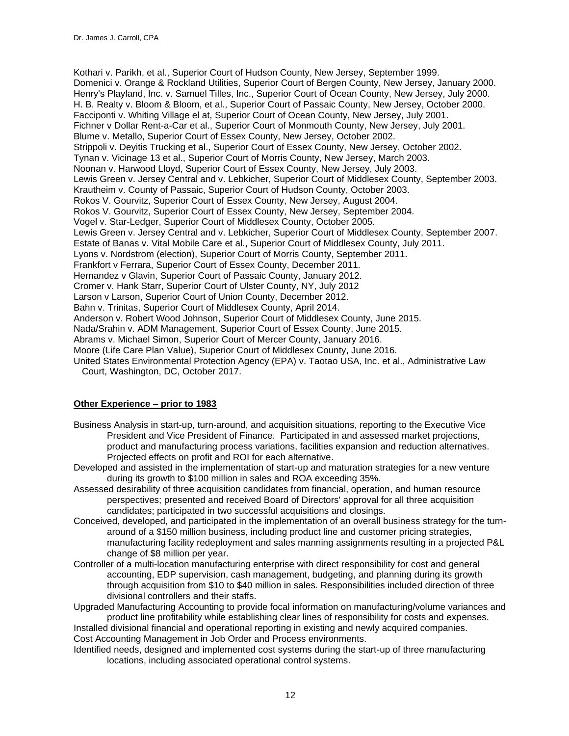Kothari v. Parikh, et al., Superior Court of Hudson County, New Jersey, September 1999. Domenici v. Orange & Rockland Utilities, Superior Court of Bergen County, New Jersey, January 2000. Henry's Playland, Inc. v. Samuel Tilles, Inc., Superior Court of Ocean County, New Jersey, July 2000. H. B. Realty v. Bloom & Bloom, et al., Superior Court of Passaic County, New Jersey, October 2000. Facciponti v. Whiting Village el at, Superior Court of Ocean County, New Jersey, July 2001. Fichner v Dollar Rent-a-Car et al., Superior Court of Monmouth County, New Jersey, July 2001. Blume v. Metallo, Superior Court of Essex County, New Jersey, October 2002. Strippoli v. Deyitis Trucking et al., Superior Court of Essex County, New Jersey, October 2002. Tynan v. Vicinage 13 et al., Superior Court of Morris County, New Jersey, March 2003. Noonan v. Harwood Lloyd, Superior Court of Essex County, New Jersey, July 2003. Lewis Green v. Jersey Central and v. Lebkicher, Superior Court of Middlesex County, September 2003. Krautheim v. County of Passaic, Superior Court of Hudson County, October 2003. Rokos V. Gourvitz, Superior Court of Essex County, New Jersey, August 2004. Rokos V. Gourvitz, Superior Court of Essex County, New Jersey, September 2004. Vogel v. Star-Ledger, Superior Court of Middlesex County, October 2005. Lewis Green v. Jersey Central and v. Lebkicher, Superior Court of Middlesex County, September 2007. Estate of Banas v. Vital Mobile Care et al., Superior Court of Middlesex County, July 2011. Lyons v. Nordstrom (election), Superior Court of Morris County, September 2011. Frankfort v Ferrara, Superior Court of Essex County, December 2011. Hernandez v Glavin, Superior Court of Passaic County, January 2012. Cromer v. Hank Starr, Superior Court of Ulster County, NY, July 2012 Larson v Larson, Superior Court of Union County, December 2012. Bahn v. Trinitas, Superior Court of Middlesex County, April 2014. Anderson v. Robert Wood Johnson, Superior Court of Middlesex County, June 2015. Nada/Srahin v. ADM Management, Superior Court of Essex County, June 2015. Abrams v. Michael Simon, Superior Court of Mercer County, January 2016. Moore (Life Care Plan Value), Superior Court of Middlesex County, June 2016. United States Environmental Protection Agency (EPA) v. Taotao USA, Inc. et al., Administrative Law Court, Washington, DC, October 2017.

# **Other Experience – prior to 1983**

- Business Analysis in start-up, turn-around, and acquisition situations, reporting to the Executive Vice President and Vice President of Finance. Participated in and assessed market projections, product and manufacturing process variations, facilities expansion and reduction alternatives. Projected effects on profit and ROI for each alternative.
- Developed and assisted in the implementation of start-up and maturation strategies for a new venture during its growth to \$100 million in sales and ROA exceeding 35%.
- Assessed desirability of three acquisition candidates from financial, operation, and human resource perspectives; presented and received Board of Directors' approval for all three acquisition candidates; participated in two successful acquisitions and closings.
- Conceived, developed, and participated in the implementation of an overall business strategy for the turnaround of a \$150 million business, including product line and customer pricing strategies, manufacturing facility redeployment and sales manning assignments resulting in a projected P&L change of \$8 million per year.
- Controller of a multi-location manufacturing enterprise with direct responsibility for cost and general accounting, EDP supervision, cash management, budgeting, and planning during its growth through acquisition from \$10 to \$40 million in sales. Responsibilities included direction of three divisional controllers and their staffs.
- Upgraded Manufacturing Accounting to provide focal information on manufacturing/volume variances and product line profitability while establishing clear lines of responsibility for costs and expenses.

Installed divisional financial and operational reporting in existing and newly acquired companies. Cost Accounting Management in Job Order and Process environments.

Identified needs, designed and implemented cost systems during the start-up of three manufacturing locations, including associated operational control systems.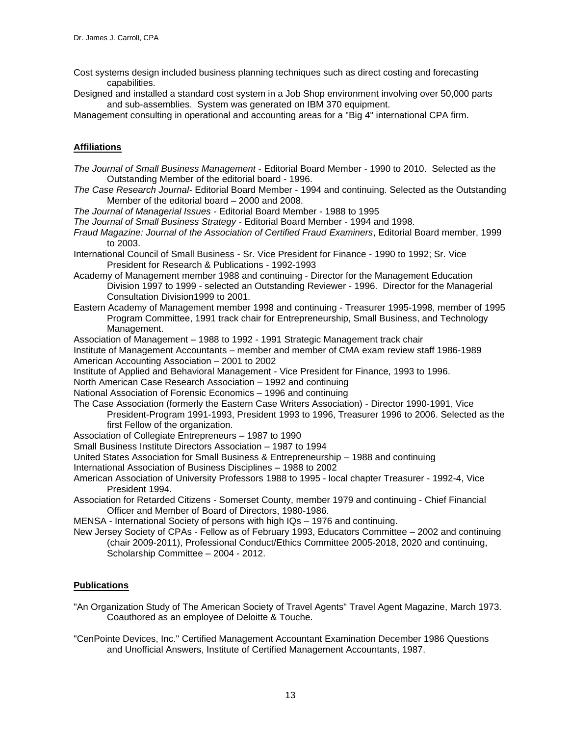- Cost systems design included business planning techniques such as direct costing and forecasting capabilities.
- Designed and installed a standard cost system in a Job Shop environment involving over 50,000 parts and sub-assemblies. System was generated on IBM 370 equipment.

Management consulting in operational and accounting areas for a "Big 4" international CPA firm.

# **Affiliations**

- *The Journal of Small Business Management*  Editorial Board Member 1990 to 2010. Selected as the Outstanding Member of the editorial board - 1996.
- *The Case Research Journal* Editorial Board Member 1994 and continuing. Selected as the Outstanding Member of the editorial board – 2000 and 2008.
- *The Journal of Managerial Issues* Editorial Board Member 1988 to 1995
- *The Journal of Small Business Strategy* Editorial Board Member 1994 and 1998.
- *Fraud Magazine: Journal of the Association of Certified Fraud Examiners*, Editorial Board member, 1999 to 2003.
- International Council of Small Business Sr. Vice President for Finance 1990 to 1992; Sr. Vice President for Research & Publications - 1992-1993
- Academy of Management member 1988 and continuing Director for the Management Education Division 1997 to 1999 - selected an Outstanding Reviewer - 1996. Director for the Managerial Consultation Division1999 to 2001.
- Eastern Academy of Management member 1998 and continuing Treasurer 1995-1998, member of 1995 Program Committee, 1991 track chair for Entrepreneurship, Small Business, and Technology Management.
- Association of Management 1988 to 1992 1991 Strategic Management track chair
- Institute of Management Accountants member and member of CMA exam review staff 1986-1989 American Accounting Association – 2001 to 2002
- Institute of Applied and Behavioral Management Vice President for Finance, 1993 to 1996.
- North American Case Research Association 1992 and continuing
- National Association of Forensic Economics 1996 and continuing
- The Case Association (formerly the Eastern Case Writers Association) Director 1990-1991, Vice President-Program 1991-1993, President 1993 to 1996, Treasurer 1996 to 2006. Selected as the first Fellow of the organization.
- Association of Collegiate Entrepreneurs 1987 to 1990
- Small Business Institute Directors Association 1987 to 1994
- United States Association for Small Business & Entrepreneurship 1988 and continuing
- International Association of Business Disciplines 1988 to 2002
- American Association of University Professors 1988 to 1995 local chapter Treasurer 1992-4, Vice President 1994.
- Association for Retarded Citizens Somerset County, member 1979 and continuing Chief Financial Officer and Member of Board of Directors, 1980-1986.
- MENSA International Society of persons with high IQs 1976 and continuing.
- New Jersey Society of CPAs Fellow as of February 1993, Educators Committee 2002 and continuing (chair 2009-2011), Professional Conduct/Ethics Committee 2005-2018, 2020 and continuing, Scholarship Committee – 2004 - 2012.

# **Publications**

- "An Organization Study of The American Society of Travel Agents" Travel Agent Magazine, March 1973. Coauthored as an employee of Deloitte & Touche.
- "CenPointe Devices, Inc." Certified Management Accountant Examination December 1986 Questions and Unofficial Answers, Institute of Certified Management Accountants, 1987.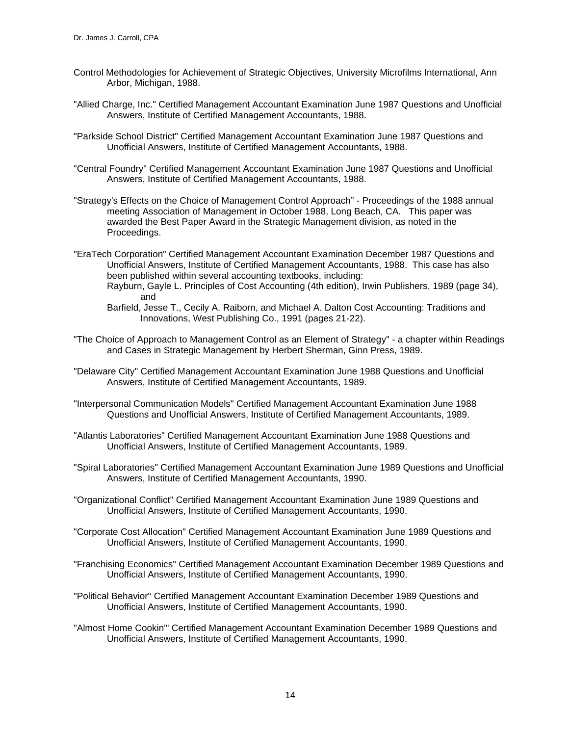- Control Methodologies for Achievement of Strategic Objectives, University Microfilms International, Ann Arbor, Michigan, 1988.
- "Allied Charge, Inc." Certified Management Accountant Examination June 1987 Questions and Unofficial Answers, Institute of Certified Management Accountants, 1988.
- "Parkside School District" Certified Management Accountant Examination June 1987 Questions and Unofficial Answers, Institute of Certified Management Accountants, 1988.
- "Central Foundry" Certified Management Accountant Examination June 1987 Questions and Unofficial Answers, Institute of Certified Management Accountants, 1988.
- "Strategy's Effects on the Choice of Management Control Approach" Proceedings of the 1988 annual meeting Association of Management in October 1988, Long Beach, CA. This paper was awarded the Best Paper Award in the Strategic Management division, as noted in the Proceedings.
- "EraTech Corporation" Certified Management Accountant Examination December 1987 Questions and Unofficial Answers, Institute of Certified Management Accountants, 1988. This case has also been published within several accounting textbooks, including: Rayburn, Gayle L. Principles of Cost Accounting (4th edition), Irwin Publishers, 1989 (page 34),
	- and Barfield, Jesse T., Cecily A. Raiborn, and Michael A. Dalton Cost Accounting: Traditions and
	- Innovations, West Publishing Co., 1991 (pages 21-22).
- "The Choice of Approach to Management Control as an Element of Strategy" a chapter within Readings and Cases in Strategic Management by Herbert Sherman, Ginn Press, 1989.
- "Delaware City" Certified Management Accountant Examination June 1988 Questions and Unofficial Answers, Institute of Certified Management Accountants, 1989.
- "Interpersonal Communication Models" Certified Management Accountant Examination June 1988 Questions and Unofficial Answers, Institute of Certified Management Accountants, 1989.
- "Atlantis Laboratories" Certified Management Accountant Examination June 1988 Questions and Unofficial Answers, Institute of Certified Management Accountants, 1989.
- "Spiral Laboratories" Certified Management Accountant Examination June 1989 Questions and Unofficial Answers, Institute of Certified Management Accountants, 1990.
- "Organizational Conflict" Certified Management Accountant Examination June 1989 Questions and Unofficial Answers, Institute of Certified Management Accountants, 1990.
- "Corporate Cost Allocation" Certified Management Accountant Examination June 1989 Questions and Unofficial Answers, Institute of Certified Management Accountants, 1990.
- "Franchising Economics" Certified Management Accountant Examination December 1989 Questions and Unofficial Answers, Institute of Certified Management Accountants, 1990.
- "Political Behavior" Certified Management Accountant Examination December 1989 Questions and Unofficial Answers, Institute of Certified Management Accountants, 1990.
- "Almost Home Cookin'" Certified Management Accountant Examination December 1989 Questions and Unofficial Answers, Institute of Certified Management Accountants, 1990.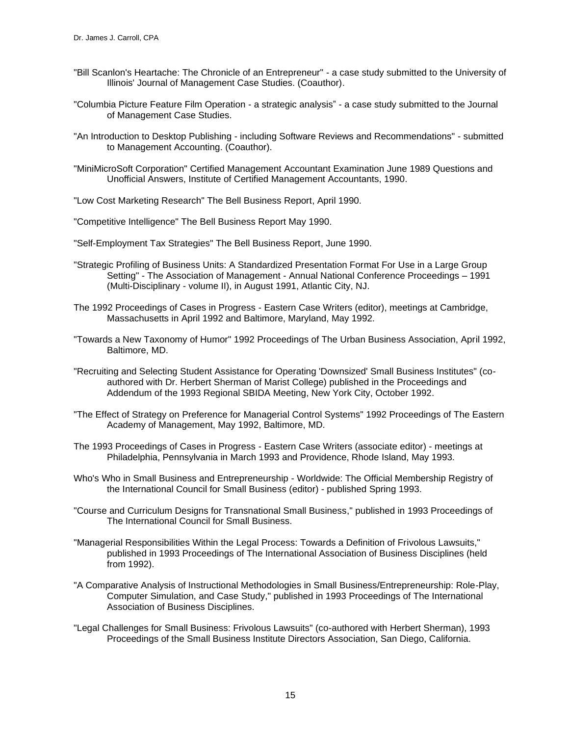- "Bill Scanlon's Heartache: The Chronicle of an Entrepreneur" a case study submitted to the University of Illinois' Journal of Management Case Studies. (Coauthor).
- "Columbia Picture Feature Film Operation a strategic analysis" a case study submitted to the Journal of Management Case Studies.
- "An Introduction to Desktop Publishing including Software Reviews and Recommendations" submitted to Management Accounting. (Coauthor).
- "MiniMicroSoft Corporation" Certified Management Accountant Examination June 1989 Questions and Unofficial Answers, Institute of Certified Management Accountants, 1990.
- "Low Cost Marketing Research" The Bell Business Report, April 1990.
- "Competitive Intelligence" The Bell Business Report May 1990.
- "Self-Employment Tax Strategies" The Bell Business Report, June 1990.
- "Strategic Profiling of Business Units: A Standardized Presentation Format For Use in a Large Group Setting" - The Association of Management - Annual National Conference Proceedings – 1991 (Multi-Disciplinary - volume II), in August 1991, Atlantic City, NJ.
- The 1992 Proceedings of Cases in Progress Eastern Case Writers (editor), meetings at Cambridge, Massachusetts in April 1992 and Baltimore, Maryland, May 1992.
- "Towards a New Taxonomy of Humor" 1992 Proceedings of The Urban Business Association, April 1992, Baltimore, MD.
- "Recruiting and Selecting Student Assistance for Operating 'Downsized' Small Business Institutes" (coauthored with Dr. Herbert Sherman of Marist College) published in the Proceedings and Addendum of the 1993 Regional SBIDA Meeting, New York City, October 1992.
- "The Effect of Strategy on Preference for Managerial Control Systems" 1992 Proceedings of The Eastern Academy of Management, May 1992, Baltimore, MD.
- The 1993 Proceedings of Cases in Progress Eastern Case Writers (associate editor) meetings at Philadelphia, Pennsylvania in March 1993 and Providence, Rhode Island, May 1993.
- Who's Who in Small Business and Entrepreneurship Worldwide: The Official Membership Registry of the International Council for Small Business (editor) - published Spring 1993.
- "Course and Curriculum Designs for Transnational Small Business," published in 1993 Proceedings of The International Council for Small Business.
- "Managerial Responsibilities Within the Legal Process: Towards a Definition of Frivolous Lawsuits," published in 1993 Proceedings of The International Association of Business Disciplines (held from 1992).
- "A Comparative Analysis of Instructional Methodologies in Small Business/Entrepreneurship: Role-Play, Computer Simulation, and Case Study," published in 1993 Proceedings of The International Association of Business Disciplines.
- "Legal Challenges for Small Business: Frivolous Lawsuits" (co-authored with Herbert Sherman), 1993 Proceedings of the Small Business Institute Directors Association, San Diego, California.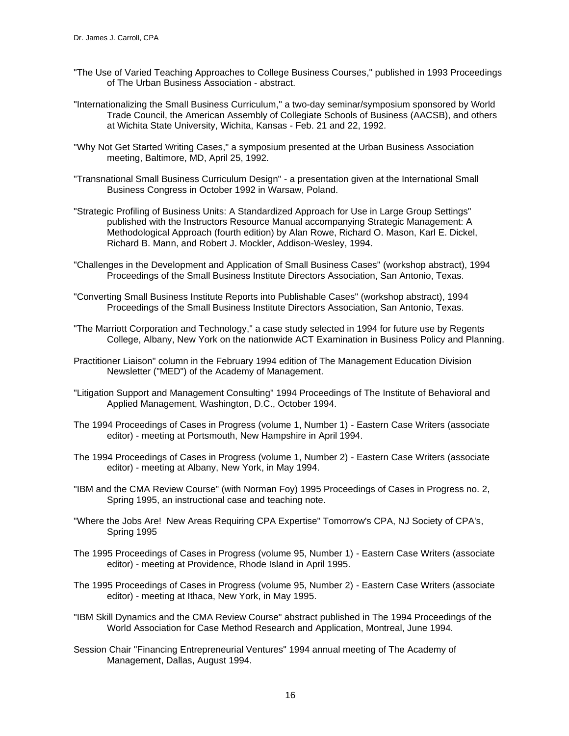- "The Use of Varied Teaching Approaches to College Business Courses," published in 1993 Proceedings of The Urban Business Association - abstract.
- "Internationalizing the Small Business Curriculum," a two-day seminar/symposium sponsored by World Trade Council, the American Assembly of Collegiate Schools of Business (AACSB), and others at Wichita State University, Wichita, Kansas - Feb. 21 and 22, 1992.
- "Why Not Get Started Writing Cases," a symposium presented at the Urban Business Association meeting, Baltimore, MD, April 25, 1992.
- "Transnational Small Business Curriculum Design" a presentation given at the International Small Business Congress in October 1992 in Warsaw, Poland.
- "Strategic Profiling of Business Units: A Standardized Approach for Use in Large Group Settings" published with the Instructors Resource Manual accompanying Strategic Management: A Methodological Approach (fourth edition) by Alan Rowe, Richard O. Mason, Karl E. Dickel, Richard B. Mann, and Robert J. Mockler, Addison-Wesley, 1994.
- "Challenges in the Development and Application of Small Business Cases" (workshop abstract), 1994 Proceedings of the Small Business Institute Directors Association, San Antonio, Texas.
- "Converting Small Business Institute Reports into Publishable Cases" (workshop abstract), 1994 Proceedings of the Small Business Institute Directors Association, San Antonio, Texas.
- "The Marriott Corporation and Technology," a case study selected in 1994 for future use by Regents College, Albany, New York on the nationwide ACT Examination in Business Policy and Planning.
- Practitioner Liaison" column in the February 1994 edition of The Management Education Division Newsletter ("MED") of the Academy of Management.
- "Litigation Support and Management Consulting" 1994 Proceedings of The Institute of Behavioral and Applied Management, Washington, D.C., October 1994.
- The 1994 Proceedings of Cases in Progress (volume 1, Number 1) Eastern Case Writers (associate editor) - meeting at Portsmouth, New Hampshire in April 1994.
- The 1994 Proceedings of Cases in Progress (volume 1, Number 2) Eastern Case Writers (associate editor) - meeting at Albany, New York, in May 1994.
- "IBM and the CMA Review Course" (with Norman Foy) 1995 Proceedings of Cases in Progress no. 2, Spring 1995, an instructional case and teaching note.
- "Where the Jobs Are! New Areas Requiring CPA Expertise" Tomorrow's CPA, NJ Society of CPA's, Spring 1995
- The 1995 Proceedings of Cases in Progress (volume 95, Number 1) Eastern Case Writers (associate editor) - meeting at Providence, Rhode Island in April 1995.
- The 1995 Proceedings of Cases in Progress (volume 95, Number 2) Eastern Case Writers (associate editor) - meeting at Ithaca, New York, in May 1995.
- "IBM Skill Dynamics and the CMA Review Course" abstract published in The 1994 Proceedings of the World Association for Case Method Research and Application, Montreal, June 1994.
- Session Chair "Financing Entrepreneurial Ventures" 1994 annual meeting of The Academy of Management, Dallas, August 1994.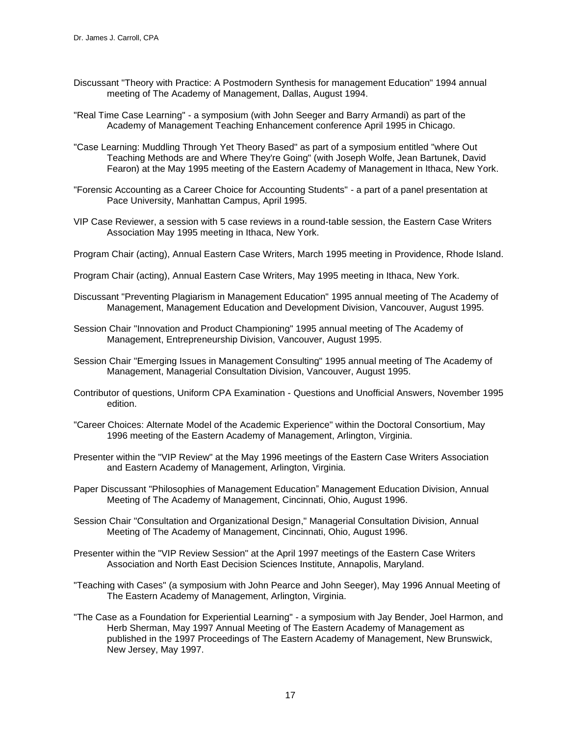- Discussant "Theory with Practice: A Postmodern Synthesis for management Education" 1994 annual meeting of The Academy of Management, Dallas, August 1994.
- "Real Time Case Learning" a symposium (with John Seeger and Barry Armandi) as part of the Academy of Management Teaching Enhancement conference April 1995 in Chicago.
- "Case Learning: Muddling Through Yet Theory Based" as part of a symposium entitled "where Out Teaching Methods are and Where They're Going" (with Joseph Wolfe, Jean Bartunek, David Fearon) at the May 1995 meeting of the Eastern Academy of Management in Ithaca, New York.
- "Forensic Accounting as a Career Choice for Accounting Students" a part of a panel presentation at Pace University, Manhattan Campus, April 1995.
- VIP Case Reviewer, a session with 5 case reviews in a round-table session, the Eastern Case Writers Association May 1995 meeting in Ithaca, New York.
- Program Chair (acting), Annual Eastern Case Writers, March 1995 meeting in Providence, Rhode Island.
- Program Chair (acting), Annual Eastern Case Writers, May 1995 meeting in Ithaca, New York.
- Discussant "Preventing Plagiarism in Management Education" 1995 annual meeting of The Academy of Management, Management Education and Development Division, Vancouver, August 1995.
- Session Chair "Innovation and Product Championing" 1995 annual meeting of The Academy of Management, Entrepreneurship Division, Vancouver, August 1995.
- Session Chair "Emerging Issues in Management Consulting" 1995 annual meeting of The Academy of Management, Managerial Consultation Division, Vancouver, August 1995.
- Contributor of questions, Uniform CPA Examination Questions and Unofficial Answers, November 1995 edition.
- "Career Choices: Alternate Model of the Academic Experience" within the Doctoral Consortium, May 1996 meeting of the Eastern Academy of Management, Arlington, Virginia.
- Presenter within the "VIP Review" at the May 1996 meetings of the Eastern Case Writers Association and Eastern Academy of Management, Arlington, Virginia.
- Paper Discussant "Philosophies of Management Education" Management Education Division, Annual Meeting of The Academy of Management, Cincinnati, Ohio, August 1996.
- Session Chair "Consultation and Organizational Design," Managerial Consultation Division, Annual Meeting of The Academy of Management, Cincinnati, Ohio, August 1996.
- Presenter within the "VIP Review Session" at the April 1997 meetings of the Eastern Case Writers Association and North East Decision Sciences Institute, Annapolis, Maryland.
- "Teaching with Cases" (a symposium with John Pearce and John Seeger), May 1996 Annual Meeting of The Eastern Academy of Management, Arlington, Virginia.
- "The Case as a Foundation for Experiential Learning" a symposium with Jay Bender, Joel Harmon, and Herb Sherman, May 1997 Annual Meeting of The Eastern Academy of Management as published in the 1997 Proceedings of The Eastern Academy of Management, New Brunswick, New Jersey, May 1997.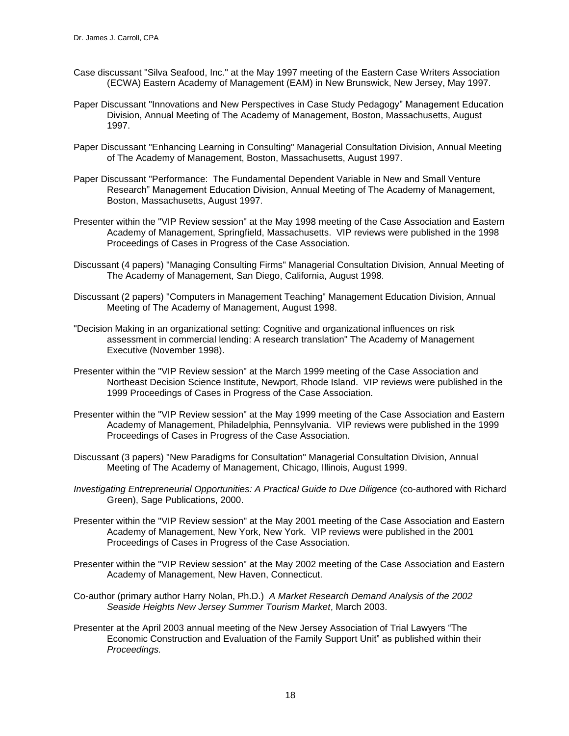- Case discussant "Silva Seafood, Inc." at the May 1997 meeting of the Eastern Case Writers Association (ECWA) Eastern Academy of Management (EAM) in New Brunswick, New Jersey, May 1997.
- Paper Discussant "Innovations and New Perspectives in Case Study Pedagogy" Management Education Division, Annual Meeting of The Academy of Management, Boston, Massachusetts, August 1997.
- Paper Discussant "Enhancing Learning in Consulting" Managerial Consultation Division, Annual Meeting of The Academy of Management, Boston, Massachusetts, August 1997.
- Paper Discussant "Performance: The Fundamental Dependent Variable in New and Small Venture Research" Management Education Division, Annual Meeting of The Academy of Management, Boston, Massachusetts, August 1997.
- Presenter within the "VIP Review session" at the May 1998 meeting of the Case Association and Eastern Academy of Management, Springfield, Massachusetts. VIP reviews were published in the 1998 Proceedings of Cases in Progress of the Case Association.
- Discussant (4 papers) "Managing Consulting Firms" Managerial Consultation Division, Annual Meeting of The Academy of Management, San Diego, California, August 1998.
- Discussant (2 papers) "Computers in Management Teaching" Management Education Division, Annual Meeting of The Academy of Management, August 1998.
- "Decision Making in an organizational setting: Cognitive and organizational influences on risk assessment in commercial lending: A research translation" The Academy of Management Executive (November 1998).
- Presenter within the "VIP Review session" at the March 1999 meeting of the Case Association and Northeast Decision Science Institute, Newport, Rhode Island. VIP reviews were published in the 1999 Proceedings of Cases in Progress of the Case Association.
- Presenter within the "VIP Review session" at the May 1999 meeting of the Case Association and Eastern Academy of Management, Philadelphia, Pennsylvania. VIP reviews were published in the 1999 Proceedings of Cases in Progress of the Case Association.
- Discussant (3 papers) "New Paradigms for Consultation" Managerial Consultation Division, Annual Meeting of The Academy of Management, Chicago, Illinois, August 1999.
- *Investigating Entrepreneurial Opportunities: A Practical Guide to Due Diligence* (co-authored with Richard Green), Sage Publications, 2000.
- Presenter within the "VIP Review session" at the May 2001 meeting of the Case Association and Eastern Academy of Management, New York, New York. VIP reviews were published in the 2001 Proceedings of Cases in Progress of the Case Association.
- Presenter within the "VIP Review session" at the May 2002 meeting of the Case Association and Eastern Academy of Management, New Haven, Connecticut.
- Co-author (primary author Harry Nolan, Ph.D.) *A Market Research Demand Analysis of the 2002 Seaside Heights New Jersey Summer Tourism Market*, March 2003.
- Presenter at the April 2003 annual meeting of the New Jersey Association of Trial Lawyers "The Economic Construction and Evaluation of the Family Support Unit" as published within their *Proceedings.*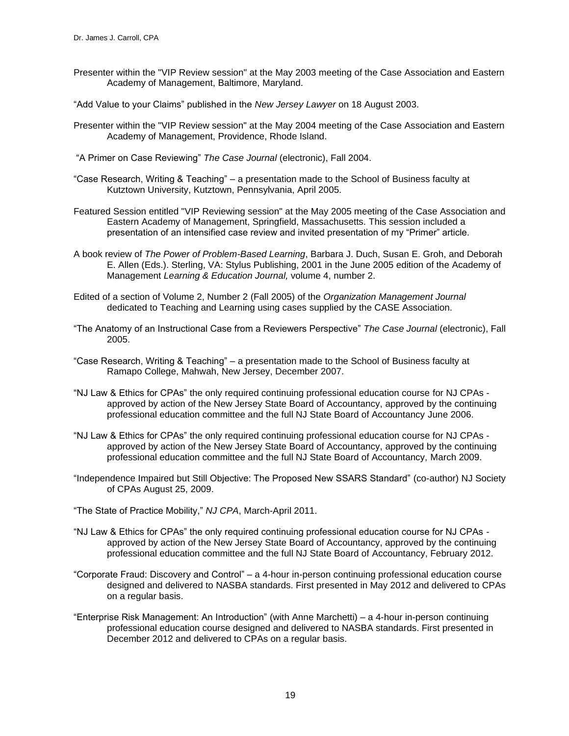- Presenter within the "VIP Review session" at the May 2003 meeting of the Case Association and Eastern Academy of Management, Baltimore, Maryland.
- "Add Value to your Claims" published in the *New Jersey Lawyer* on 18 August 2003.
- Presenter within the "VIP Review session" at the May 2004 meeting of the Case Association and Eastern Academy of Management, Providence, Rhode Island.
- "A Primer on Case Reviewing" *The Case Journal* (electronic), Fall 2004.
- "Case Research, Writing & Teaching" a presentation made to the School of Business faculty at Kutztown University, Kutztown, Pennsylvania, April 2005.
- Featured Session entitled "VIP Reviewing session" at the May 2005 meeting of the Case Association and Eastern Academy of Management, Springfield, Massachusetts. This session included a presentation of an intensified case review and invited presentation of my "Primer" article.
- A book review of *The Power of Problem-Based Learning*, Barbara J. Duch, Susan E. Groh, and Deborah E. Allen (Eds.). Sterling, VA: Stylus Publishing, 2001 in the June 2005 edition of the Academy of Management *Learning & Education Journal,* volume 4, number 2.
- Edited of a section of Volume 2, Number 2 (Fall 2005) of the *Organization Management Journal* dedicated to Teaching and Learning using cases supplied by the CASE Association.
- "The Anatomy of an Instructional Case from a Reviewers Perspective" *The Case Journal* (electronic), Fall 2005.
- "Case Research, Writing & Teaching" a presentation made to the School of Business faculty at Ramapo College, Mahwah, New Jersey, December 2007.
- "NJ Law & Ethics for CPAs" the only required continuing professional education course for NJ CPAs approved by action of the New Jersey State Board of Accountancy, approved by the continuing professional education committee and the full NJ State Board of Accountancy June 2006.
- "NJ Law & Ethics for CPAs" the only required continuing professional education course for NJ CPAs approved by action of the New Jersey State Board of Accountancy, approved by the continuing professional education committee and the full NJ State Board of Accountancy, March 2009.
- "Independence Impaired but Still Objective: The Proposed New SSARS Standard" (co-author) NJ Society of CPAs August 25, 2009.
- "The State of Practice Mobility," *NJ CPA*, March-April 2011.
- "NJ Law & Ethics for CPAs" the only required continuing professional education course for NJ CPAs approved by action of the New Jersey State Board of Accountancy, approved by the continuing professional education committee and the full NJ State Board of Accountancy, February 2012.
- "Corporate Fraud: Discovery and Control" a 4-hour in-person continuing professional education course designed and delivered to NASBA standards. First presented in May 2012 and delivered to CPAs on a regular basis.
- "Enterprise Risk Management: An Introduction" (with Anne Marchetti) a 4-hour in-person continuing professional education course designed and delivered to NASBA standards. First presented in December 2012 and delivered to CPAs on a regular basis.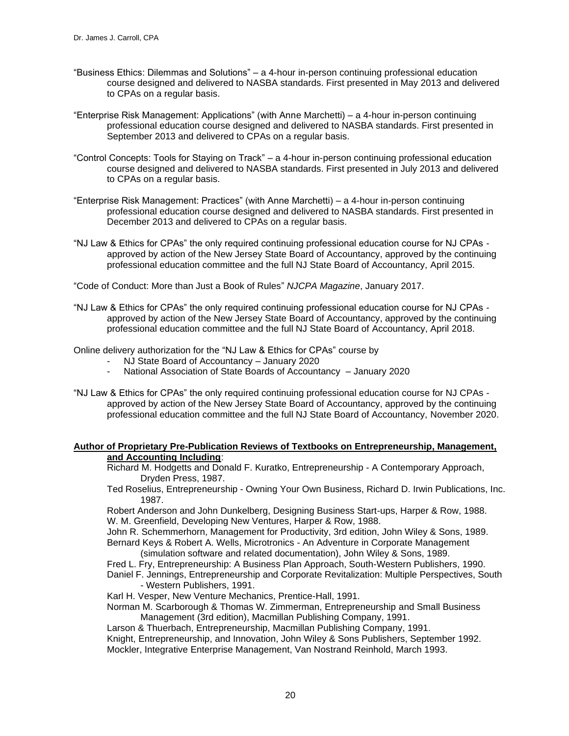- "Business Ethics: Dilemmas and Solutions" a 4-hour in-person continuing professional education course designed and delivered to NASBA standards. First presented in May 2013 and delivered to CPAs on a regular basis.
- "Enterprise Risk Management: Applications" (with Anne Marchetti) a 4-hour in-person continuing professional education course designed and delivered to NASBA standards. First presented in September 2013 and delivered to CPAs on a regular basis.
- "Control Concepts: Tools for Staying on Track" a 4-hour in-person continuing professional education course designed and delivered to NASBA standards. First presented in July 2013 and delivered to CPAs on a regular basis.
- "Enterprise Risk Management: Practices" (with Anne Marchetti) a 4-hour in-person continuing professional education course designed and delivered to NASBA standards. First presented in December 2013 and delivered to CPAs on a regular basis.
- "NJ Law & Ethics for CPAs" the only required continuing professional education course for NJ CPAs approved by action of the New Jersey State Board of Accountancy, approved by the continuing professional education committee and the full NJ State Board of Accountancy, April 2015.

"Code of Conduct: More than Just a Book of Rules" *NJCPA Magazine*, January 2017.

"NJ Law & Ethics for CPAs" the only required continuing professional education course for NJ CPAs approved by action of the New Jersey State Board of Accountancy, approved by the continuing professional education committee and the full NJ State Board of Accountancy, April 2018.

Online delivery authorization for the "NJ Law & Ethics for CPAs" course by

- NJ State Board of Accountancy January 2020
- National Association of State Boards of Accountancy January 2020
- "NJ Law & Ethics for CPAs" the only required continuing professional education course for NJ CPAs approved by action of the New Jersey State Board of Accountancy, approved by the continuing professional education committee and the full NJ State Board of Accountancy, November 2020.

#### **Author of Proprietary Pre-Publication Reviews of Textbooks on Entrepreneurship, Management, and Accounting Including**:

Richard M. Hodgetts and Donald F. Kuratko, Entrepreneurship - A Contemporary Approach, Dryden Press, 1987.

Ted Roselius, Entrepreneurship - Owning Your Own Business, Richard D. Irwin Publications, Inc. 1987.

Robert Anderson and John Dunkelberg, Designing Business Start-ups, Harper & Row, 1988. W. M. Greenfield, Developing New Ventures, Harper & Row, 1988.

John R. Schemmerhorn, Management for Productivity, 3rd edition, John Wiley & Sons, 1989. Bernard Keys & Robert A. Wells, Microtronics - An Adventure in Corporate Management (simulation software and related documentation), John Wiley & Sons, 1989.

- 
- Fred L. Fry, Entrepreneurship: A Business Plan Approach, South-Western Publishers, 1990.
- Daniel F. Jennings, Entrepreneurship and Corporate Revitalization: Multiple Perspectives, South - Western Publishers, 1991.
- Karl H. Vesper, New Venture Mechanics, Prentice-Hall, 1991.
- Norman M. Scarborough & Thomas W. Zimmerman, Entrepreneurship and Small Business Management (3rd edition), Macmillan Publishing Company, 1991.

Larson & Thuerbach, Entrepreneurship, Macmillan Publishing Company, 1991.

Knight, Entrepreneurship, and Innovation, John Wiley & Sons Publishers, September 1992. Mockler, Integrative Enterprise Management, Van Nostrand Reinhold, March 1993.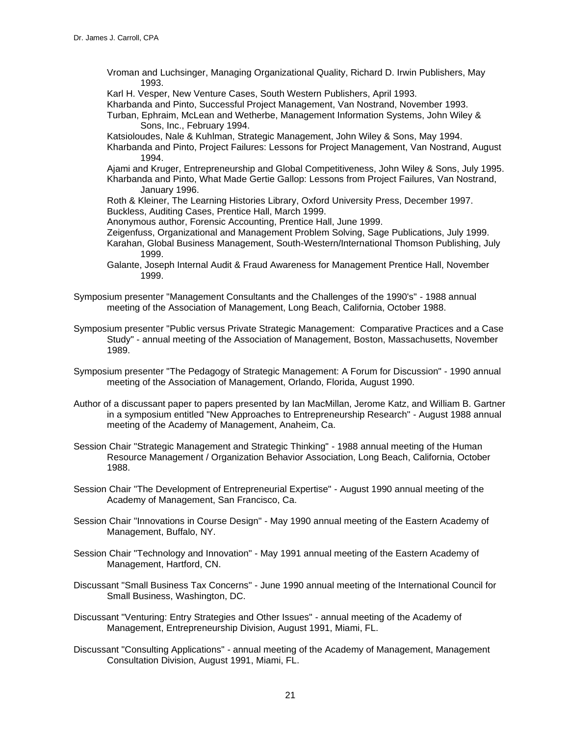Vroman and Luchsinger, Managing Organizational Quality, Richard D. Irwin Publishers, May 1993.

Karl H. Vesper, New Venture Cases, South Western Publishers, April 1993.

Kharbanda and Pinto, Successful Project Management, Van Nostrand, November 1993.

Turban, Ephraim, McLean and Wetherbe, Management Information Systems, John Wiley & Sons, Inc., February 1994.

Katsioloudes, Nale & Kuhlman, Strategic Management, John Wiley & Sons, May 1994. Kharbanda and Pinto, Project Failures: Lessons for Project Management, Van Nostrand, August

1994. Ajami and Kruger, Entrepreneurship and Global Competitiveness, John Wiley & Sons, July 1995. Kharbanda and Pinto, What Made Gertie Gallop: Lessons from Project Failures, Van Nostrand, January 1996.

Roth & Kleiner, The Learning Histories Library, Oxford University Press, December 1997. Buckless, Auditing Cases, Prentice Hall, March 1999.

Anonymous author, Forensic Accounting, Prentice Hall, June 1999.

Zeigenfuss, Organizational and Management Problem Solving, Sage Publications, July 1999. Karahan, Global Business Management, South-Western/International Thomson Publishing, July 1999.

- Galante, Joseph Internal Audit & Fraud Awareness for Management Prentice Hall, November 1999.
- Symposium presenter "Management Consultants and the Challenges of the 1990's" 1988 annual meeting of the Association of Management, Long Beach, California, October 1988.
- Symposium presenter "Public versus Private Strategic Management: Comparative Practices and a Case Study" - annual meeting of the Association of Management, Boston, Massachusetts, November 1989.
- Symposium presenter "The Pedagogy of Strategic Management: A Forum for Discussion" 1990 annual meeting of the Association of Management, Orlando, Florida, August 1990.
- Author of a discussant paper to papers presented by Ian MacMillan, Jerome Katz, and William B. Gartner in a symposium entitled "New Approaches to Entrepreneurship Research" - August 1988 annual meeting of the Academy of Management, Anaheim, Ca.
- Session Chair "Strategic Management and Strategic Thinking" 1988 annual meeting of the Human Resource Management / Organization Behavior Association, Long Beach, California, October 1988.
- Session Chair "The Development of Entrepreneurial Expertise" August 1990 annual meeting of the Academy of Management, San Francisco, Ca.
- Session Chair "Innovations in Course Design" May 1990 annual meeting of the Eastern Academy of Management, Buffalo, NY.
- Session Chair "Technology and Innovation" May 1991 annual meeting of the Eastern Academy of Management, Hartford, CN.
- Discussant "Small Business Tax Concerns" June 1990 annual meeting of the International Council for Small Business, Washington, DC.
- Discussant "Venturing: Entry Strategies and Other Issues" annual meeting of the Academy of Management, Entrepreneurship Division, August 1991, Miami, FL.
- Discussant "Consulting Applications" annual meeting of the Academy of Management, Management Consultation Division, August 1991, Miami, FL.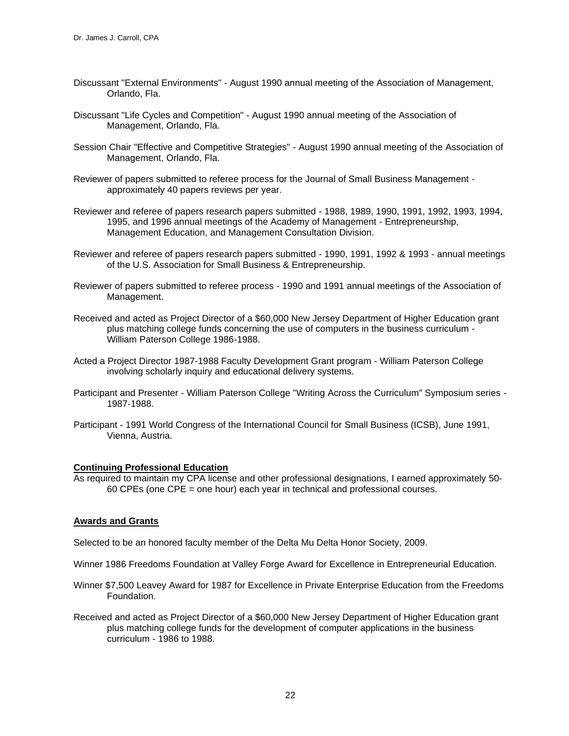- Discussant "External Environments" August 1990 annual meeting of the Association of Management, Orlando, Fla.
- Discussant "Life Cycles and Competition" August 1990 annual meeting of the Association of Management, Orlando, Fla.
- Session Chair "Effective and Competitive Strategies" August 1990 annual meeting of the Association of Management, Orlando, Fla.
- Reviewer of papers submitted to referee process for the Journal of Small Business Management approximately 40 papers reviews per year.
- Reviewer and referee of papers research papers submitted 1988, 1989, 1990, 1991, 1992, 1993, 1994, 1995, and 1996 annual meetings of the Academy of Management - Entrepreneurship, Management Education, and Management Consultation Division.
- Reviewer and referee of papers research papers submitted 1990, 1991, 1992 & 1993 annual meetings of the U.S. Association for Small Business & Entrepreneurship.
- Reviewer of papers submitted to referee process 1990 and 1991 annual meetings of the Association of Management.
- Received and acted as Project Director of a \$60,000 New Jersey Department of Higher Education grant plus matching college funds concerning the use of computers in the business curriculum - William Paterson College 1986-1988.
- Acted a Project Director 1987-1988 Faculty Development Grant program William Paterson College involving scholarly inquiry and educational delivery systems.
- Participant and Presenter William Paterson College "Writing Across the Curriculum" Symposium series 1987-1988.
- Participant 1991 World Congress of the International Council for Small Business (ICSB), June 1991, Vienna, Austria.

### **Continuing Professional Education**

As required to maintain my CPA license and other professional designations, I earned approximately 50- 60 CPEs (one CPE = one hour) each year in technical and professional courses.

### **Awards and Grants**

Selected to be an honored faculty member of the Delta Mu Delta Honor Society, 2009.

Winner 1986 Freedoms Foundation at Valley Forge Award for Excellence in Entrepreneurial Education.

- Winner \$7,500 Leavey Award for 1987 for Excellence in Private Enterprise Education from the Freedoms Foundation.
- Received and acted as Project Director of a \$60,000 New Jersey Department of Higher Education grant plus matching college funds for the development of computer applications in the business curriculum - 1986 to 1988.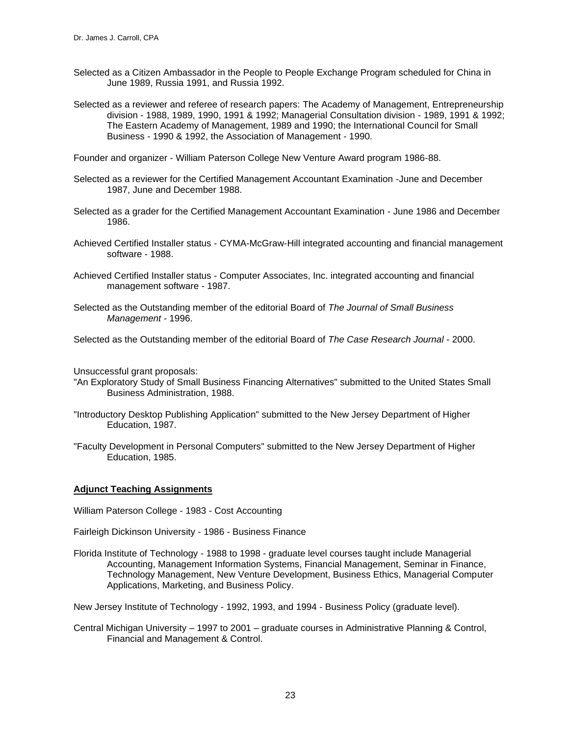- Selected as a Citizen Ambassador in the People to People Exchange Program scheduled for China in June 1989, Russia 1991, and Russia 1992.
- Selected as a reviewer and referee of research papers: The Academy of Management, Entrepreneurship division - 1988, 1989, 1990, 1991 & 1992; Managerial Consultation division - 1989, 1991 & 1992; The Eastern Academy of Management, 1989 and 1990; the International Council for Small Business - 1990 & 1992, the Association of Management - 1990.

Founder and organizer - William Paterson College New Venture Award program 1986-88.

- Selected as a reviewer for the Certified Management Accountant Examination -June and December 1987, June and December 1988.
- Selected as a grader for the Certified Management Accountant Examination June 1986 and December 1986.
- Achieved Certified Installer status CYMA-McGraw-Hill integrated accounting and financial management software - 1988.
- Achieved Certified Installer status Computer Associates, Inc. integrated accounting and financial management software - 1987.
- Selected as the Outstanding member of the editorial Board of *The Journal of Small Business Management* - 1996.

Selected as the Outstanding member of the editorial Board of *The Case Research Journal* - 2000.

Unsuccessful grant proposals:

- "An Exploratory Study of Small Business Financing Alternatives" submitted to the United States Small Business Administration, 1988.
- "Introductory Desktop Publishing Application" submitted to the New Jersey Department of Higher Education, 1987.
- "Faculty Development in Personal Computers" submitted to the New Jersey Department of Higher Education, 1985.

### **Adjunct Teaching Assignments**

William Paterson College - 1983 - Cost Accounting

Fairleigh Dickinson University - 1986 - Business Finance

Florida Institute of Technology - 1988 to 1998 - graduate level courses taught include Managerial Accounting, Management Information Systems, Financial Management, Seminar in Finance, Technology Management, New Venture Development, Business Ethics, Managerial Computer Applications, Marketing, and Business Policy.

New Jersey Institute of Technology - 1992, 1993, and 1994 - Business Policy (graduate level).

Central Michigan University – 1997 to 2001 – graduate courses in Administrative Planning & Control, Financial and Management & Control.